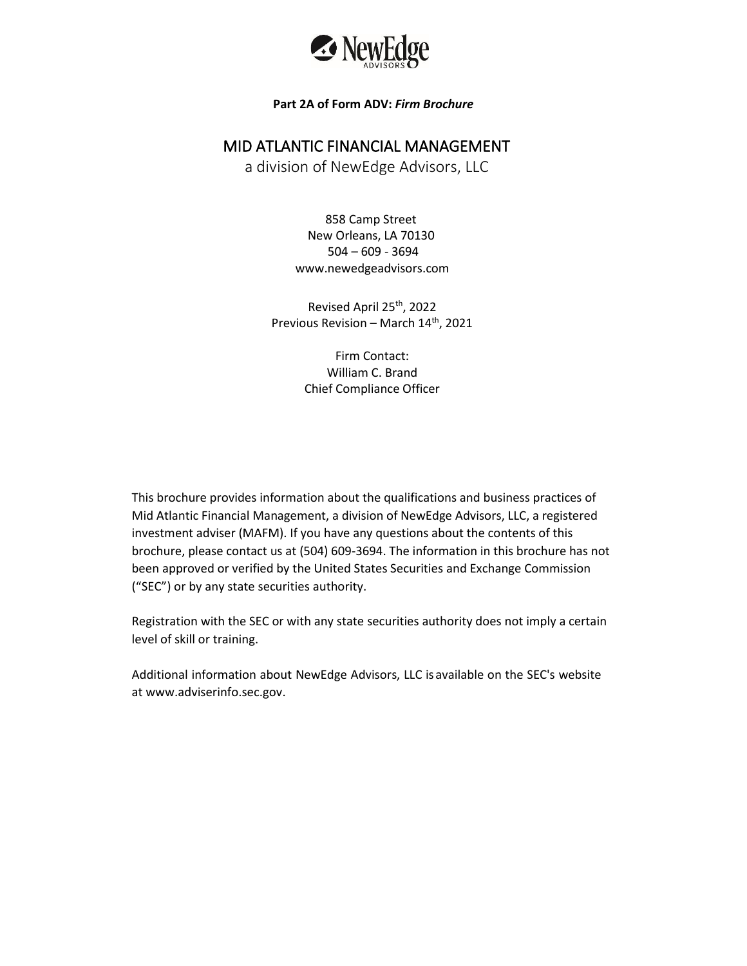

### **Part 2A of Form ADV:** *Firm Brochure*

### MID ATLANTIC FINANCIAL MANAGEMENT

a division of NewEdge Advisors, LLC

858 Camp Street New Orleans, LA 70130 504 – 609 - 3694 www.newedgeadvisors.com

Revised April 25th, 2022 Previous Revision – March 14<sup>th</sup>, 2021

> Firm Contact: William C. Brand Chief Compliance Officer

This brochure provides information about the qualifications and business practices of Mid Atlantic Financial Management, a division of NewEdge Advisors, LLC, a registered investment adviser (MAFM). If you have any questions about the contents of this brochure, please contact us at (504) 609-3694. The information in this brochure has not been approved or verified by the United States Securities and Exchange Commission ("SEC") or by any state securities authority.

Registration with the SEC or with any state securities authority does not imply a certain level of skill or training.

Additional information about NewEdge Advisors, LLC isavailable on the SEC's website a[t www.adviserinfo.sec.gov.](http://www.adviserinfo.sec.gov/)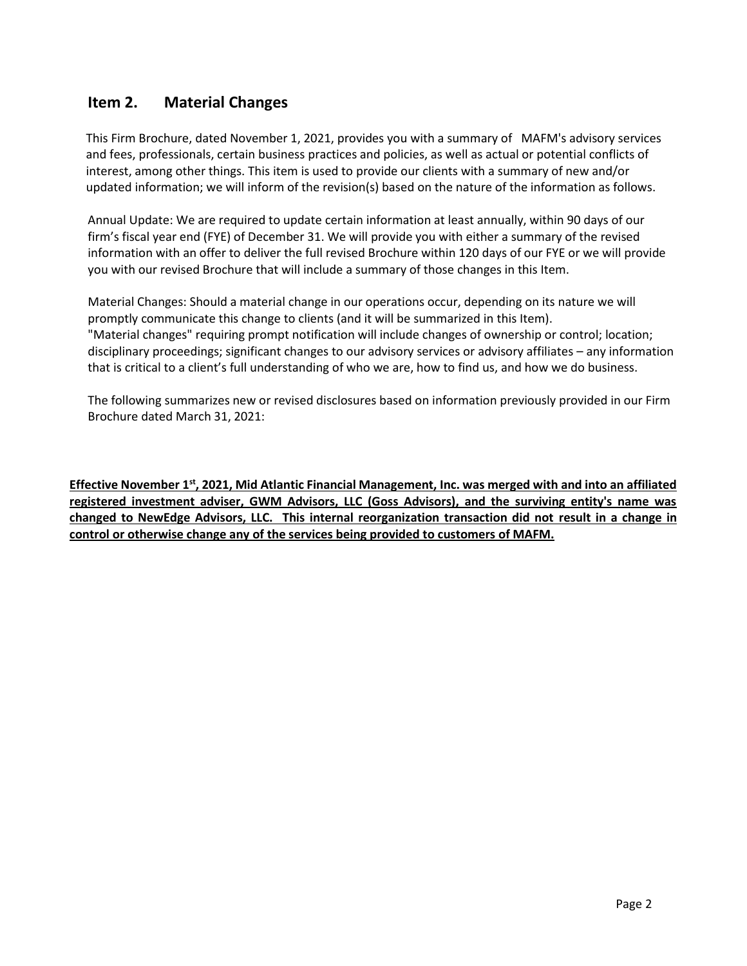# <span id="page-1-0"></span>**Item 2. Material Changes**

This Firm Brochure, dated November 1, 2021, provides you with a summary of MAFM's advisory services and fees, professionals, certain business practices and policies, as well as actual or potential conflicts of interest, among other things. This item is used to provide our clients with a summary of new and/or updated information; we will inform of the revision(s) based on the nature of the information as follows.

Annual Update: We are required to update certain information at least annually, within 90 days of our firm's fiscal year end (FYE) of December 31. We will provide you with either a summary of the revised information with an offer to deliver the full revised Brochure within 120 days of our FYE or we will provide you with our revised Brochure that will include a summary of those changes in this Item.

Material Changes: Should a material change in our operations occur, depending on its nature we will promptly communicate this change to clients (and it will be summarized in this Item). "Material changes" requiring prompt notification will include changes of ownership or control; location; disciplinary proceedings; significant changes to our advisory services or advisory affiliates – any information that is critical to a client's full understanding of who we are, how to find us, and how we do business.

The following summarizes new or revised disclosures based on information previously provided in our Firm Brochure dated March 31, 2021:

**Effective November 1st, 2021, Mid Atlantic Financial Management, Inc. was merged with and into an affiliated registered investment adviser, GWM Advisors, LLC (Goss Advisors), and the surviving entity's name was changed to NewEdge Advisors, LLC. This internal reorganization transaction did not result in a change in control or otherwise change any of the services being provided to customers of MAFM.**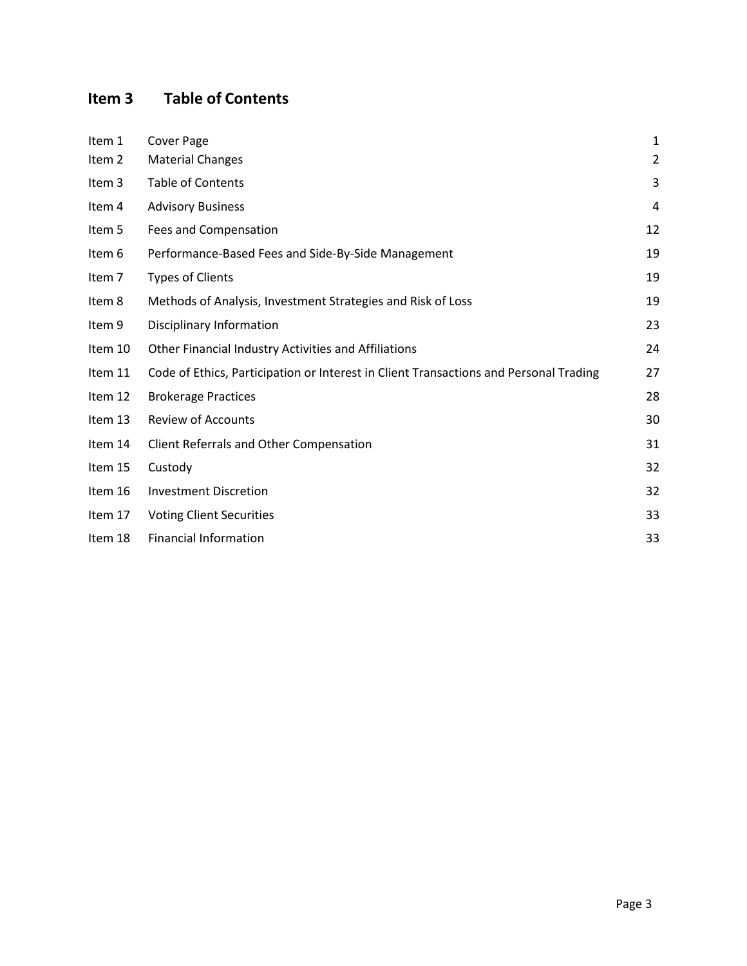# <span id="page-2-0"></span>**Item 3 Table of Contents**

| Item 1  | Cover Page                                                                            | 1              |
|---------|---------------------------------------------------------------------------------------|----------------|
| Item 2  | <b>Material Changes</b>                                                               | $\overline{2}$ |
| Item 3  | Table of Contents                                                                     | 3              |
| Item 4  | <b>Advisory Business</b>                                                              | 4              |
| Item 5  | Fees and Compensation                                                                 | 12             |
| Item 6  | Performance-Based Fees and Side-By-Side Management                                    | 19             |
| Item 7  | <b>Types of Clients</b>                                                               | 19             |
| Item 8  | Methods of Analysis, Investment Strategies and Risk of Loss                           | 19             |
| Item 9  | Disciplinary Information                                                              | 23             |
| Item 10 | Other Financial Industry Activities and Affiliations                                  | 24             |
| Item 11 | Code of Ethics, Participation or Interest in Client Transactions and Personal Trading | 27             |
| Item 12 | <b>Brokerage Practices</b>                                                            | 28             |
| Item 13 | <b>Review of Accounts</b>                                                             | 30             |
| Item 14 | Client Referrals and Other Compensation                                               | 31             |
| Item 15 | Custody                                                                               | 32             |
| Item 16 | <b>Investment Discretion</b>                                                          | 32             |
| Item 17 | <b>Voting Client Securities</b>                                                       | 33             |
| Item 18 | <b>Financial Information</b>                                                          | 33             |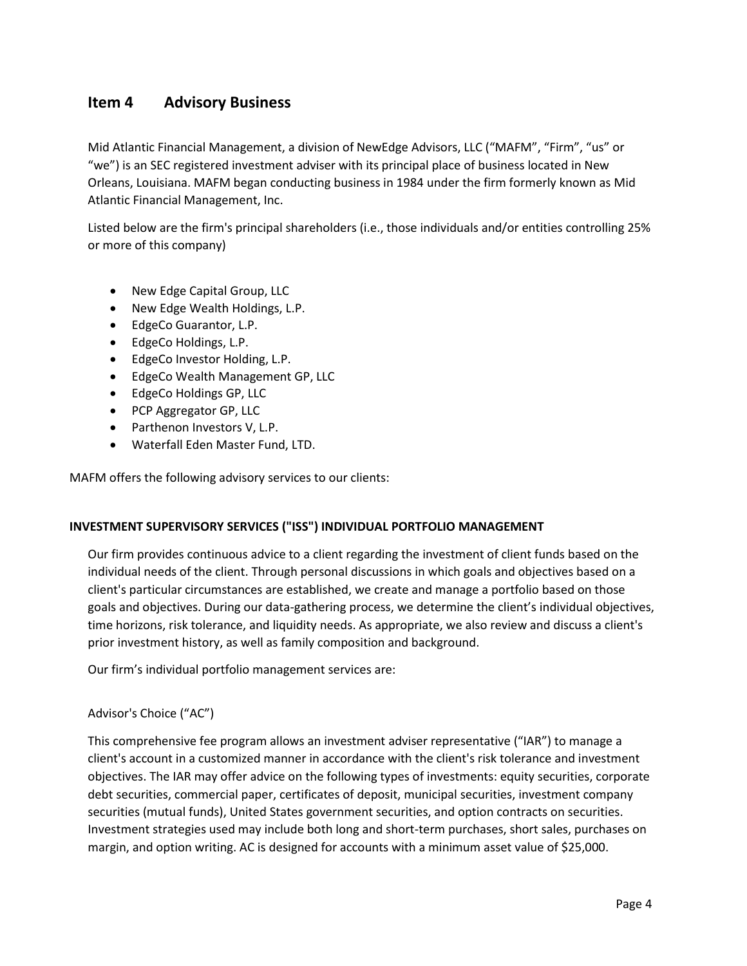# <span id="page-3-0"></span>**Item 4 Advisory Business**

Mid Atlantic Financial Management, a division of NewEdge Advisors, LLC ("MAFM", "Firm", "us" or "we") is an SEC registered investment adviser with its principal place of business located in New Orleans, Louisiana. MAFM began conducting business in 1984 under the firm formerly known as Mid Atlantic Financial Management, Inc.

Listed below are the firm's principal shareholders (i.e., those individuals and/or entities controlling 25% or more of this company)

- New Edge Capital Group, LLC
- New Edge Wealth Holdings, L.P.
- EdgeCo Guarantor, L.P.
- EdgeCo Holdings, L.P.
- EdgeCo Investor Holding, L.P.
- EdgeCo Wealth Management GP, LLC
- EdgeCo Holdings GP, LLC
- PCP Aggregator GP, LLC
- Parthenon Investors V, L.P.
- Waterfall Eden Master Fund, LTD.

MAFM offers the following advisory services to our clients:

### **INVESTMENT SUPERVISORY SERVICES ("ISS") INDIVIDUAL PORTFOLIO MANAGEMENT**

Our firm provides continuous advice to a client regarding the investment of client funds based on the individual needs of the client. Through personal discussions in which goals and objectives based on a client's particular circumstances are established, we create and manage a portfolio based on those goals and objectives. During our data-gathering process, we determine the client's individual objectives, time horizons, risk tolerance, and liquidity needs. As appropriate, we also review and discuss a client's prior investment history, as well as family composition and background.

Our firm's individual portfolio management services are:

### Advisor's Choice ("AC")

This comprehensive fee program allows an investment adviser representative ("IAR") to manage a client's account in a customized manner in accordance with the client's risk tolerance and investment objectives. The IAR may offer advice on the following types of investments: equity securities, corporate debt securities, commercial paper, certificates of deposit, municipal securities, investment company securities (mutual funds), United States government securities, and option contracts on securities. Investment strategies used may include both long and short-term purchases, short sales, purchases on margin, and option writing. AC is designed for accounts with a minimum asset value of \$25,000.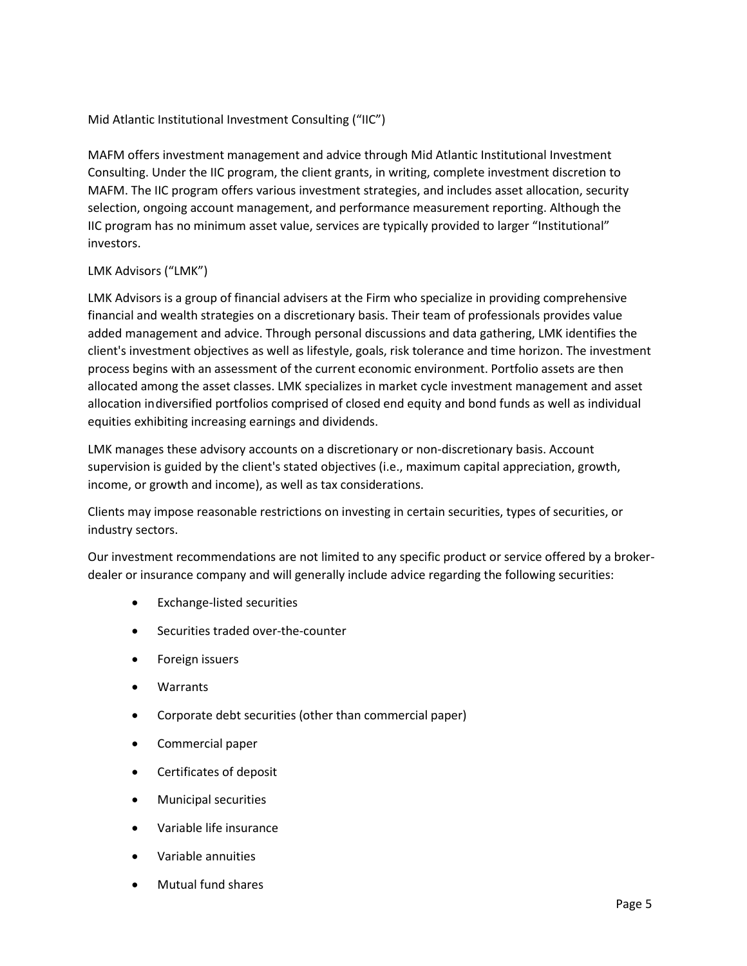### Mid Atlantic Institutional Investment Consulting ("IIC")

MAFM offers investment management and advice through Mid Atlantic Institutional Investment Consulting. Under the IIC program, the client grants, in writing, complete investment discretion to MAFM. The IIC program offers various investment strategies, and includes asset allocation, security selection, ongoing account management, and performance measurement reporting. Although the IIC program has no minimum asset value, services are typically provided to larger "Institutional" investors.

### LMK Advisors ("LMK")

LMK Advisors is a group of financial advisers at the Firm who specialize in providing comprehensive financial and wealth strategies on a discretionary basis. Their team of professionals provides value added management and advice. Through personal discussions and data gathering, LMK identifies the client's investment objectives as well as lifestyle, goals, risk tolerance and time horizon. The investment process begins with an assessment of the current economic environment. Portfolio assets are then allocated among the asset classes. LMK specializes in market cycle investment management and asset allocation indiversified portfolios comprised of closed end equity and bond funds as well as individual equities exhibiting increasing earnings and dividends.

LMK manages these advisory accounts on a discretionary or non-discretionary basis. Account supervision is guided by the client's stated objectives (i.e., maximum capital appreciation, growth, income, or growth and income), as well as tax considerations.

Clients may impose reasonable restrictions on investing in certain securities, types of securities, or industry sectors.

Our investment recommendations are not limited to any specific product or service offered by a brokerdealer or insurance company and will generally include advice regarding the following securities:

- Exchange-listed securities
- Securities traded over-the-counter
- Foreign issuers
- **Warrants**
- Corporate debt securities (other than commercial paper)
- Commercial paper
- Certificates of deposit
- Municipal securities
- Variable life insurance
- Variable annuities
- Mutual fund shares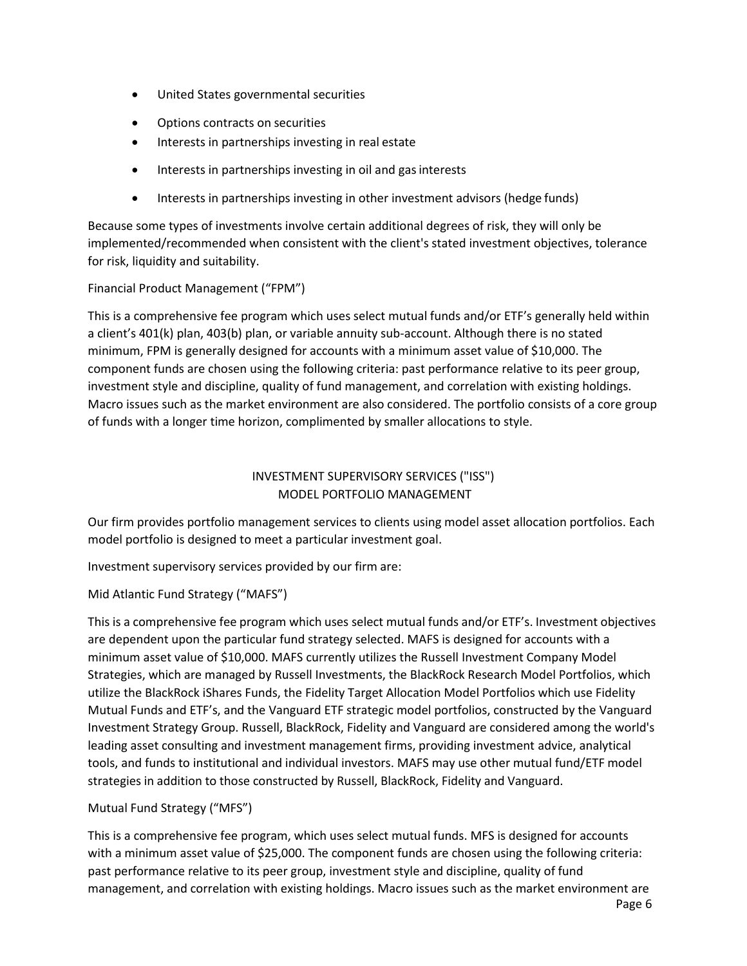- United States governmental securities
- Options contracts on securities
- Interests in partnerships investing in real estate
- Interests in partnerships investing in oil and gas interests
- Interests in partnerships investing in other investment advisors (hedge funds)

Because some types of investments involve certain additional degrees of risk, they will only be implemented/recommended when consistent with the client's stated investment objectives, tolerance for risk, liquidity and suitability.

### Financial Product Management ("FPM")

This is a comprehensive fee program which uses select mutual funds and/or ETF's generally held within a client's 401(k) plan, 403(b) plan, or variable annuity sub-account. Although there is no stated minimum, FPM is generally designed for accounts with a minimum asset value of \$10,000. The component funds are chosen using the following criteria: past performance relative to its peer group, investment style and discipline, quality of fund management, and correlation with existing holdings. Macro issues such as the market environment are also considered. The portfolio consists of a core group of funds with a longer time horizon, complimented by smaller allocations to style.

### INVESTMENT SUPERVISORY SERVICES ("ISS") MODEL PORTFOLIO MANAGEMENT

Our firm provides portfolio management services to clients using model asset allocation portfolios. Each model portfolio is designed to meet a particular investment goal.

Investment supervisory services provided by our firm are:

### Mid Atlantic Fund Strategy ("MAFS")

This is a comprehensive fee program which uses select mutual funds and/or ETF's. Investment objectives are dependent upon the particular fund strategy selected. MAFS is designed for accounts with a minimum asset value of \$10,000. MAFS currently utilizes the Russell Investment Company Model Strategies, which are managed by Russell Investments, the BlackRock Research Model Portfolios, which utilize the BlackRock iShares Funds, the Fidelity Target Allocation Model Portfolios which use Fidelity Mutual Funds and ETF's, and the Vanguard ETF strategic model portfolios, constructed by the Vanguard Investment Strategy Group. Russell, BlackRock, Fidelity and Vanguard are considered among the world's leading asset consulting and investment management firms, providing investment advice, analytical tools, and funds to institutional and individual investors. MAFS may use other mutual fund/ETF model strategies in addition to those constructed by Russell, BlackRock, Fidelity and Vanguard.

### Mutual Fund Strategy ("MFS")

This is a comprehensive fee program, which uses select mutual funds. MFS is designed for accounts with a minimum asset value of \$25,000. The component funds are chosen using the following criteria: past performance relative to its peer group, investment style and discipline, quality of fund management, and correlation with existing holdings. Macro issues such as the market environment are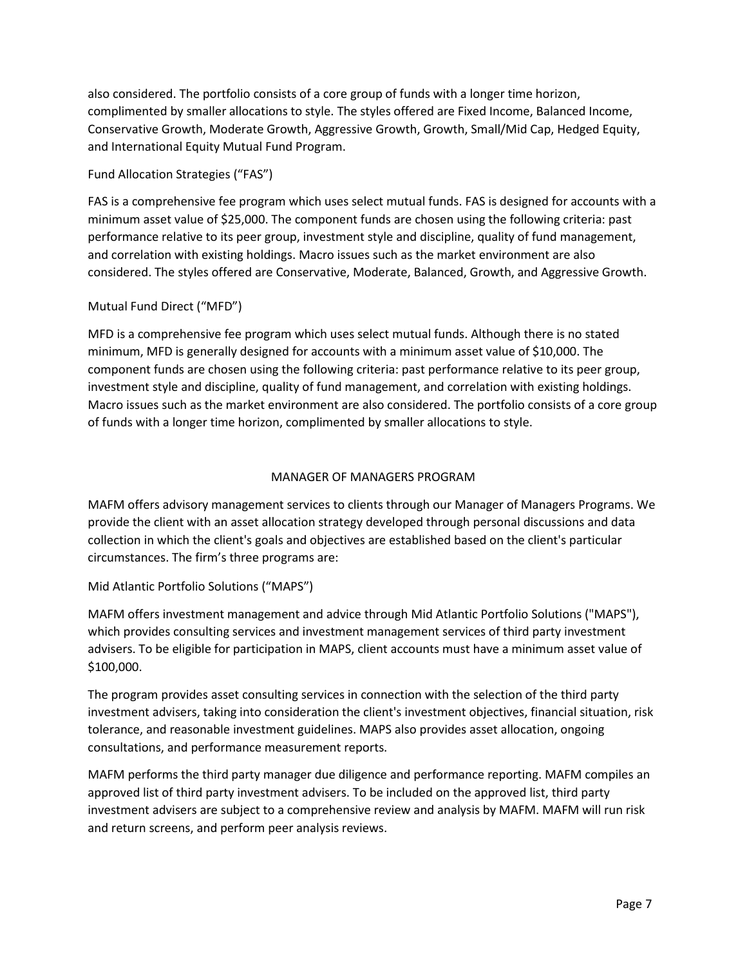also considered. The portfolio consists of a core group of funds with a longer time horizon, complimented by smaller allocations to style. The styles offered are Fixed Income, Balanced Income, Conservative Growth, Moderate Growth, Aggressive Growth, Growth, Small/Mid Cap, Hedged Equity, and International Equity Mutual Fund Program.

### Fund Allocation Strategies ("FAS")

FAS is a comprehensive fee program which uses select mutual funds. FAS is designed for accounts with a minimum asset value of \$25,000. The component funds are chosen using the following criteria: past performance relative to its peer group, investment style and discipline, quality of fund management, and correlation with existing holdings. Macro issues such as the market environment are also considered. The styles offered are Conservative, Moderate, Balanced, Growth, and Aggressive Growth.

### Mutual Fund Direct ("MFD")

MFD is a comprehensive fee program which uses select mutual funds. Although there is no stated minimum, MFD is generally designed for accounts with a minimum asset value of \$10,000. The component funds are chosen using the following criteria: past performance relative to its peer group, investment style and discipline, quality of fund management, and correlation with existing holdings. Macro issues such as the market environment are also considered. The portfolio consists of a core group of funds with a longer time horizon, complimented by smaller allocations to style.

### MANAGER OF MANAGERS PROGRAM

MAFM offers advisory management services to clients through our Manager of Managers Programs. We provide the client with an asset allocation strategy developed through personal discussions and data collection in which the client's goals and objectives are established based on the client's particular circumstances. The firm's three programs are:

### Mid Atlantic Portfolio Solutions ("MAPS")

MAFM offers investment management and advice through Mid Atlantic Portfolio Solutions ("MAPS"), which provides consulting services and investment management services of third party investment advisers. To be eligible for participation in MAPS, client accounts must have a minimum asset value of \$100,000.

The program provides asset consulting services in connection with the selection of the third party investment advisers, taking into consideration the client's investment objectives, financial situation, risk tolerance, and reasonable investment guidelines. MAPS also provides asset allocation, ongoing consultations, and performance measurement reports.

MAFM performs the third party manager due diligence and performance reporting. MAFM compiles an approved list of third party investment advisers. To be included on the approved list, third party investment advisers are subject to a comprehensive review and analysis by MAFM. MAFM will run risk and return screens, and perform peer analysis reviews.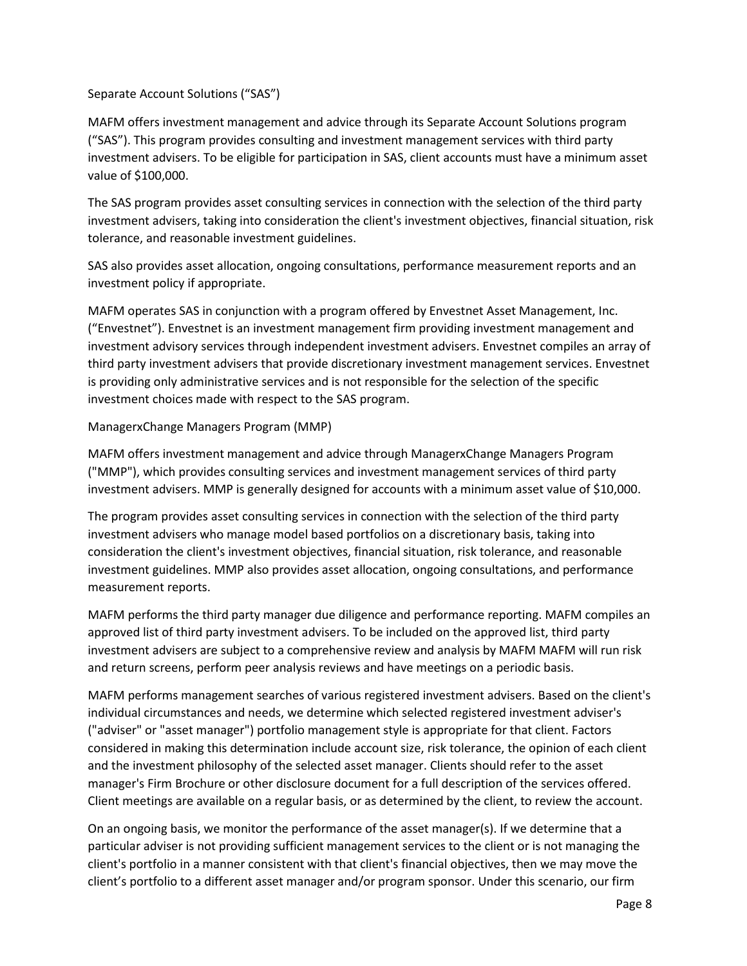### Separate Account Solutions ("SAS")

MAFM offers investment management and advice through its Separate Account Solutions program ("SAS"). This program provides consulting and investment management services with third party investment advisers. To be eligible for participation in SAS, client accounts must have a minimum asset value of \$100,000.

The SAS program provides asset consulting services in connection with the selection of the third party investment advisers, taking into consideration the client's investment objectives, financial situation, risk tolerance, and reasonable investment guidelines.

SAS also provides asset allocation, ongoing consultations, performance measurement reports and an investment policy if appropriate.

MAFM operates SAS in conjunction with a program offered by Envestnet Asset Management, Inc. ("Envestnet"). Envestnet is an investment management firm providing investment management and investment advisory services through independent investment advisers. Envestnet compiles an array of third party investment advisers that provide discretionary investment management services. Envestnet is providing only administrative services and is not responsible for the selection of the specific investment choices made with respect to the SAS program.

### ManagerxChange Managers Program (MMP)

MAFM offers investment management and advice through ManagerxChange Managers Program ("MMP"), which provides consulting services and investment management services of third party investment advisers. MMP is generally designed for accounts with a minimum asset value of \$10,000.

The program provides asset consulting services in connection with the selection of the third party investment advisers who manage model based portfolios on a discretionary basis, taking into consideration the client's investment objectives, financial situation, risk tolerance, and reasonable investment guidelines. MMP also provides asset allocation, ongoing consultations, and performance measurement reports.

MAFM performs the third party manager due diligence and performance reporting. MAFM compiles an approved list of third party investment advisers. To be included on the approved list, third party investment advisers are subject to a comprehensive review and analysis by MAFM MAFM will run risk and return screens, perform peer analysis reviews and have meetings on a periodic basis.

MAFM performs management searches of various registered investment advisers. Based on the client's individual circumstances and needs, we determine which selected registered investment adviser's ("adviser" or "asset manager") portfolio management style is appropriate for that client. Factors considered in making this determination include account size, risk tolerance, the opinion of each client and the investment philosophy of the selected asset manager. Clients should refer to the asset manager's Firm Brochure or other disclosure document for a full description of the services offered. Client meetings are available on a regular basis, or as determined by the client, to review the account.

On an ongoing basis, we monitor the performance of the asset manager(s). If we determine that a particular adviser is not providing sufficient management services to the client or is not managing the client's portfolio in a manner consistent with that client's financial objectives, then we may move the client's portfolio to a different asset manager and/or program sponsor. Under this scenario, our firm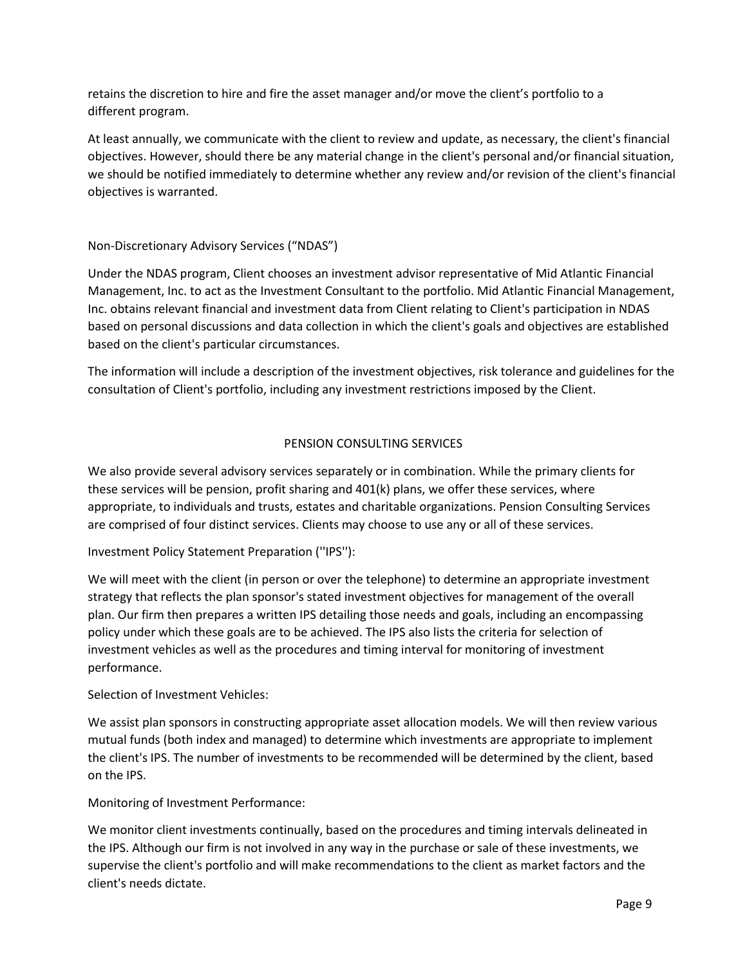retains the discretion to hire and fire the asset manager and/or move the client's portfolio to a different program.

At least annually, we communicate with the client to review and update, as necessary, the client's financial objectives. However, should there be any material change in the client's personal and/or financial situation, we should be notified immediately to determine whether any review and/or revision of the client's financial objectives is warranted.

### Non-Discretionary Advisory Services ("NDAS")

Under the NDAS program, Client chooses an investment advisor representative of Mid Atlantic Financial Management, Inc. to act as the Investment Consultant to the portfolio. Mid Atlantic Financial Management, Inc. obtains relevant financial and investment data from Client relating to Client's participation in NDAS based on personal discussions and data collection in which the client's goals and objectives are established based on the client's particular circumstances.

The information will include a description of the investment objectives, risk tolerance and guidelines for the consultation of Client's portfolio, including any investment restrictions imposed by the Client.

### PENSION CONSULTING SERVICES

We also provide several advisory services separately or in combination. While the primary clients for these services will be pension, profit sharing and 401(k) plans, we offer these services, where appropriate, to individuals and trusts, estates and charitable organizations. Pension Consulting Services are comprised of four distinct services. Clients may choose to use any or all of these services.

### Investment Policy Statement Preparation (''IPS''):

We will meet with the client (in person or over the telephone) to determine an appropriate investment strategy that reflects the plan sponsor's stated investment objectives for management of the overall plan. Our firm then prepares a written IPS detailing those needs and goals, including an encompassing policy under which these goals are to be achieved. The IPS also lists the criteria for selection of investment vehicles as well as the procedures and timing interval for monitoring of investment performance.

### Selection of Investment Vehicles:

We assist plan sponsors in constructing appropriate asset allocation models. We will then review various mutual funds (both index and managed) to determine which investments are appropriate to implement the client's IPS. The number of investments to be recommended will be determined by the client, based on the IPS.

Monitoring of Investment Performance:

We monitor client investments continually, based on the procedures and timing intervals delineated in the IPS. Although our firm is not involved in any way in the purchase or sale of these investments, we supervise the client's portfolio and will make recommendations to the client as market factors and the client's needs dictate.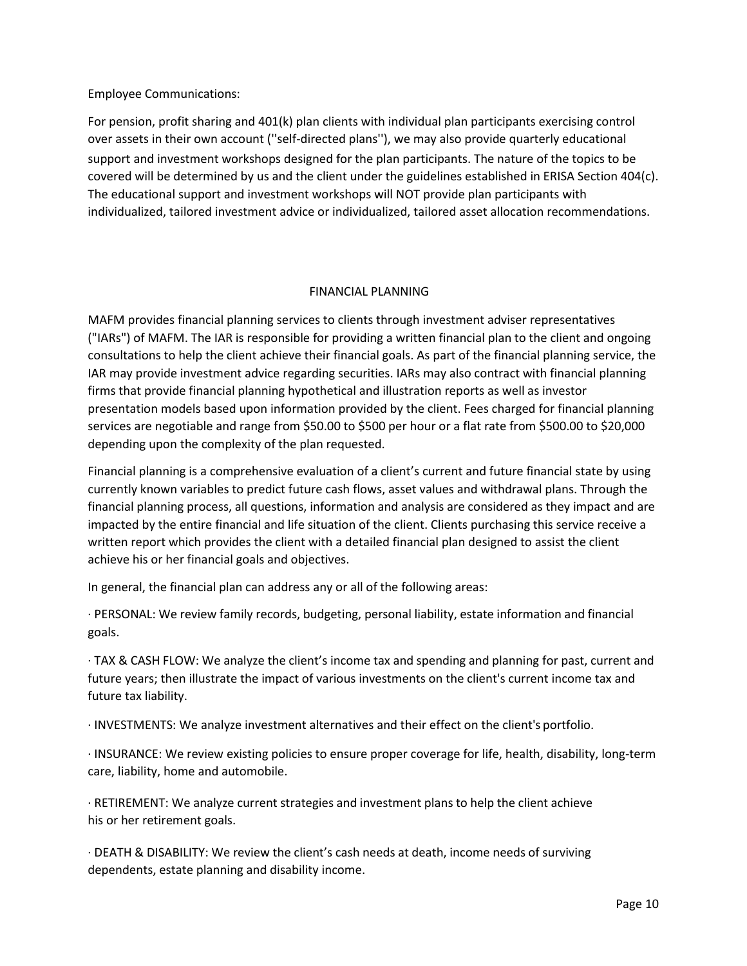Employee Communications:

For pension, profit sharing and 401(k) plan clients with individual plan participants exercising control over assets in their own account (''self-directed plans''), we may also provide quarterly educational support and investment workshops designed for the plan participants. The nature of the topics to be covered will be determined by us and the client under the guidelines established in ERISA Section 404(c). The educational support and investment workshops will NOT provide plan participants with individualized, tailored investment advice or individualized, tailored asset allocation recommendations.

### FINANCIAL PLANNING

MAFM provides financial planning services to clients through investment adviser representatives ("IARs") of MAFM. The IAR is responsible for providing a written financial plan to the client and ongoing consultations to help the client achieve their financial goals. As part of the financial planning service, the IAR may provide investment advice regarding securities. IARs may also contract with financial planning firms that provide financial planning hypothetical and illustration reports as well as investor presentation models based upon information provided by the client. Fees charged for financial planning services are negotiable and range from \$50.00 to \$500 per hour or a flat rate from \$500.00 to \$20,000 depending upon the complexity of the plan requested.

Financial planning is a comprehensive evaluation of a client's current and future financial state by using currently known variables to predict future cash flows, asset values and withdrawal plans. Through the financial planning process, all questions, information and analysis are considered as they impact and are impacted by the entire financial and life situation of the client. Clients purchasing this service receive a written report which provides the client with a detailed financial plan designed to assist the client achieve his or her financial goals and objectives.

In general, the financial plan can address any or all of the following areas:

· PERSONAL: We review family records, budgeting, personal liability, estate information and financial goals.

· TAX & CASH FLOW: We analyze the client's income tax and spending and planning for past, current and future years; then illustrate the impact of various investments on the client's current income tax and future tax liability.

· INVESTMENTS: We analyze investment alternatives and their effect on the client's portfolio.

· INSURANCE: We review existing policies to ensure proper coverage for life, health, disability, long-term care, liability, home and automobile.

· RETIREMENT: We analyze current strategies and investment plans to help the client achieve his or her retirement goals.

· DEATH & DISABILITY: We review the client's cash needs at death, income needs of surviving dependents, estate planning and disability income.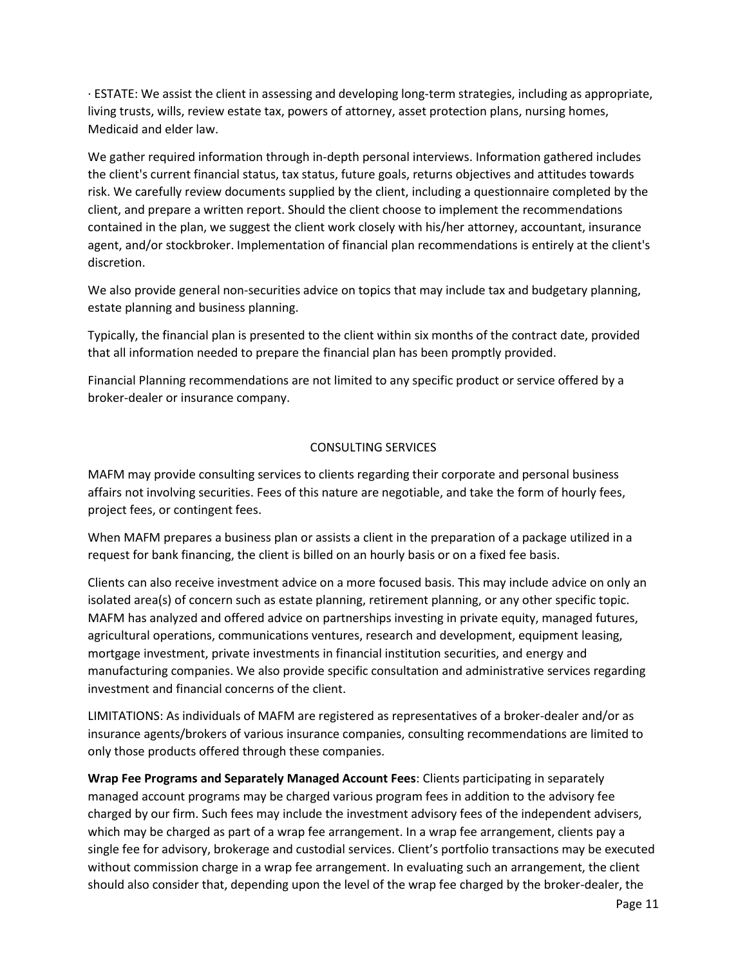· ESTATE: We assist the client in assessing and developing long-term strategies, including as appropriate, living trusts, wills, review estate tax, powers of attorney, asset protection plans, nursing homes, Medicaid and elder law.

We gather required information through in-depth personal interviews. Information gathered includes the client's current financial status, tax status, future goals, returns objectives and attitudes towards risk. We carefully review documents supplied by the client, including a questionnaire completed by the client, and prepare a written report. Should the client choose to implement the recommendations contained in the plan, we suggest the client work closely with his/her attorney, accountant, insurance agent, and/or stockbroker. Implementation of financial plan recommendations is entirely at the client's discretion.

We also provide general non-securities advice on topics that may include tax and budgetary planning, estate planning and business planning.

Typically, the financial plan is presented to the client within six months of the contract date, provided that all information needed to prepare the financial plan has been promptly provided.

Financial Planning recommendations are not limited to any specific product or service offered by a broker-dealer or insurance company.

### CONSULTING SERVICES

MAFM may provide consulting services to clients regarding their corporate and personal business affairs not involving securities. Fees of this nature are negotiable, and take the form of hourly fees, project fees, or contingent fees.

When MAFM prepares a business plan or assists a client in the preparation of a package utilized in a request for bank financing, the client is billed on an hourly basis or on a fixed fee basis.

Clients can also receive investment advice on a more focused basis. This may include advice on only an isolated area(s) of concern such as estate planning, retirement planning, or any other specific topic. MAFM has analyzed and offered advice on partnerships investing in private equity, managed futures, agricultural operations, communications ventures, research and development, equipment leasing, mortgage investment, private investments in financial institution securities, and energy and manufacturing companies. We also provide specific consultation and administrative services regarding investment and financial concerns of the client.

LIMITATIONS: As individuals of MAFM are registered as representatives of a broker-dealer and/or as insurance agents/brokers of various insurance companies, consulting recommendations are limited to only those products offered through these companies.

**Wrap Fee Programs and Separately Managed Account Fees**: Clients participating in separately managed account programs may be charged various program fees in addition to the advisory fee charged by our firm. Such fees may include the investment advisory fees of the independent advisers, which may be charged as part of a wrap fee arrangement. In a wrap fee arrangement, clients pay a single fee for advisory, brokerage and custodial services. Client's portfolio transactions may be executed without commission charge in a wrap fee arrangement. In evaluating such an arrangement, the client should also consider that, depending upon the level of the wrap fee charged by the broker-dealer, the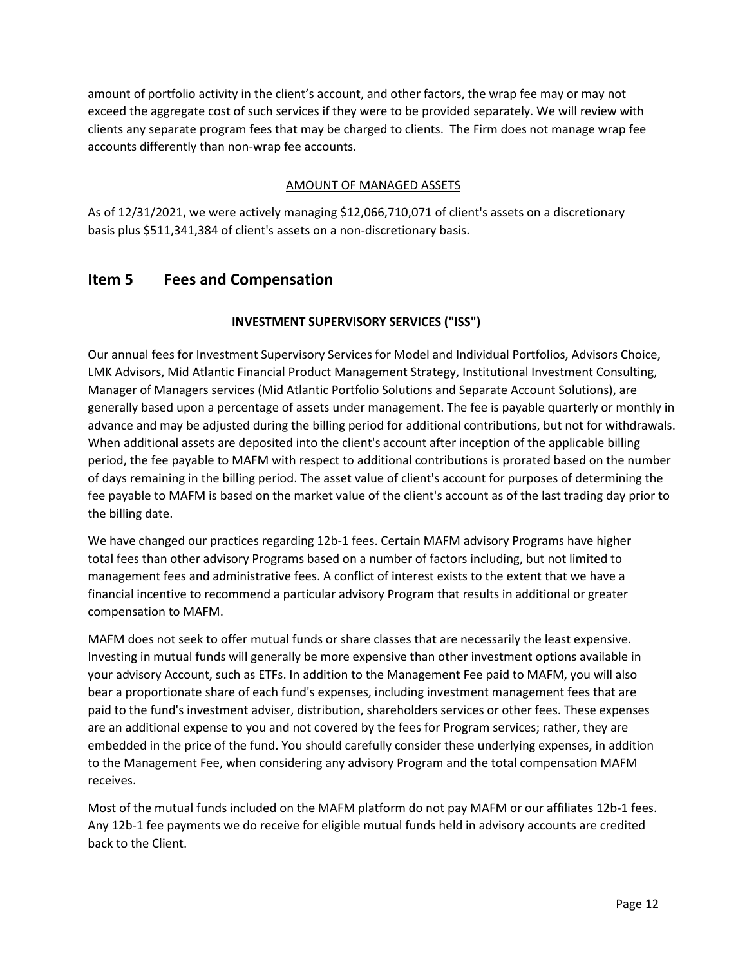amount of portfolio activity in the client's account, and other factors, the wrap fee may or may not exceed the aggregate cost of such services if they were to be provided separately. We will review with clients any separate program fees that may be charged to clients. The Firm does not manage wrap fee accounts differently than non-wrap fee accounts.

### AMOUNT OF MANAGED ASSETS

As of 12/31/2021, we were actively managing \$12,066,710,071 of client's assets on a discretionary basis plus \$511,341,384 of client's assets on a non-discretionary basis.

### <span id="page-11-0"></span>**Item 5 Fees and Compensation**

### **INVESTMENT SUPERVISORY SERVICES ("ISS")**

Our annual fees for Investment Supervisory Services for Model and Individual Portfolios, Advisors Choice, LMK Advisors, Mid Atlantic Financial Product Management Strategy, Institutional Investment Consulting, Manager of Managers services (Mid Atlantic Portfolio Solutions and Separate Account Solutions), are generally based upon a percentage of assets under management. The fee is payable quarterly or monthly in advance and may be adjusted during the billing period for additional contributions, but not for withdrawals. When additional assets are deposited into the client's account after inception of the applicable billing period, the fee payable to MAFM with respect to additional contributions is prorated based on the number of days remaining in the billing period. The asset value of client's account for purposes of determining the fee payable to MAFM is based on the market value of the client's account as of the last trading day prior to the billing date.

We have changed our practices regarding 12b-1 fees. Certain MAFM advisory Programs have higher total fees than other advisory Programs based on a number of factors including, but not limited to management fees and administrative fees. A conflict of interest exists to the extent that we have a financial incentive to recommend a particular advisory Program that results in additional or greater compensation to MAFM.

MAFM does not seek to offer mutual funds or share classes that are necessarily the least expensive. Investing in mutual funds will generally be more expensive than other investment options available in your advisory Account, such as ETFs. In addition to the Management Fee paid to MAFM, you will also bear a proportionate share of each fund's expenses, including investment management fees that are paid to the fund's investment adviser, distribution, shareholders services or other fees. These expenses are an additional expense to you and not covered by the fees for Program services; rather, they are embedded in the price of the fund. You should carefully consider these underlying expenses, in addition to the Management Fee, when considering any advisory Program and the total compensation MAFM receives.

Most of the mutual funds included on the MAFM platform do not pay MAFM or our affiliates 12b-1 fees. Any 12b-1 fee payments we do receive for eligible mutual funds held in advisory accounts are credited back to the Client.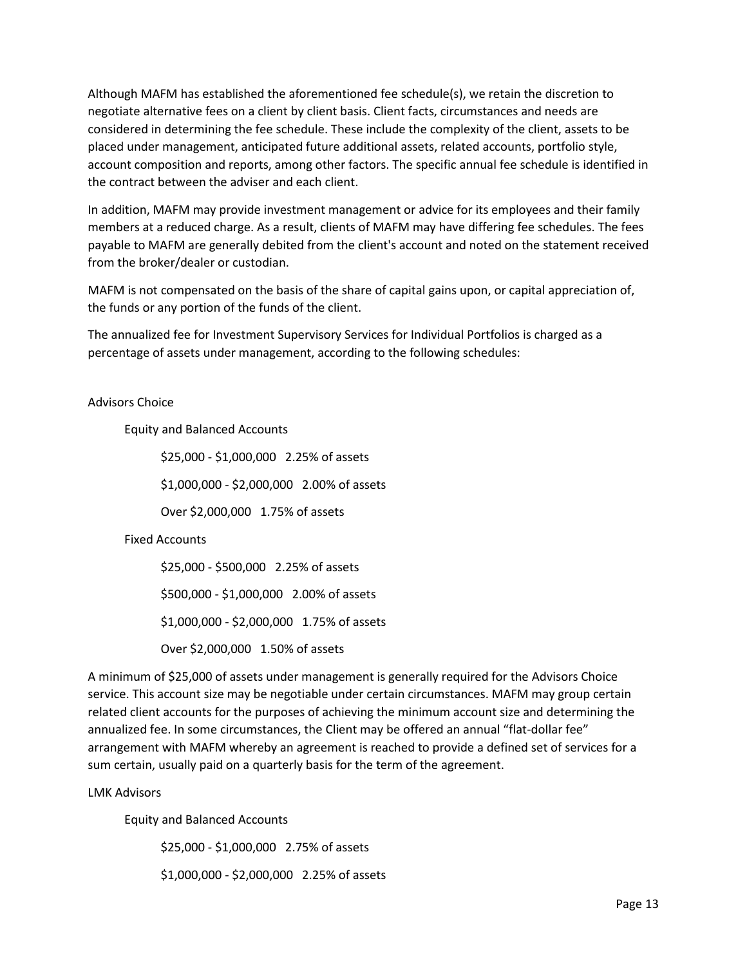Although MAFM has established the aforementioned fee schedule(s), we retain the discretion to negotiate alternative fees on a client by client basis. Client facts, circumstances and needs are considered in determining the fee schedule. These include the complexity of the client, assets to be placed under management, anticipated future additional assets, related accounts, portfolio style, account composition and reports, among other factors. The specific annual fee schedule is identified in the contract between the adviser and each client.

In addition, MAFM may provide investment management or advice for its employees and their family members at a reduced charge. As a result, clients of MAFM may have differing fee schedules. The fees payable to MAFM are generally debited from the client's account and noted on the statement received from the broker/dealer or custodian.

MAFM is not compensated on the basis of the share of capital gains upon, or capital appreciation of, the funds or any portion of the funds of the client.

The annualized fee for Investment Supervisory Services for Individual Portfolios is charged as a percentage of assets under management, according to the following schedules:

### Advisors Choice

Equity and Balanced Accounts

\$25,000 - \$1,000,000 2.25% of assets \$1,000,000 - \$2,000,000 2.00% of assets

Over \$2,000,000 1.75% of assets

### Fixed Accounts

\$25,000 - \$500,000 2.25% of assets \$500,000 - \$1,000,000 2.00% of assets \$1,000,000 - \$2,000,000 1.75% of assets Over \$2,000,000 1.50% of assets

A minimum of \$25,000 of assets under management is generally required for the Advisors Choice service. This account size may be negotiable under certain circumstances. MAFM may group certain related client accounts for the purposes of achieving the minimum account size and determining the annualized fee. In some circumstances, the Client may be offered an annual "flat-dollar fee" arrangement with MAFM whereby an agreement is reached to provide a defined set of services for a sum certain, usually paid on a quarterly basis for the term of the agreement.

LMK Advisors

Equity and Balanced Accounts

\$25,000 - \$1,000,000 2.75% of assets

\$1,000,000 - \$2,000,000 2.25% of assets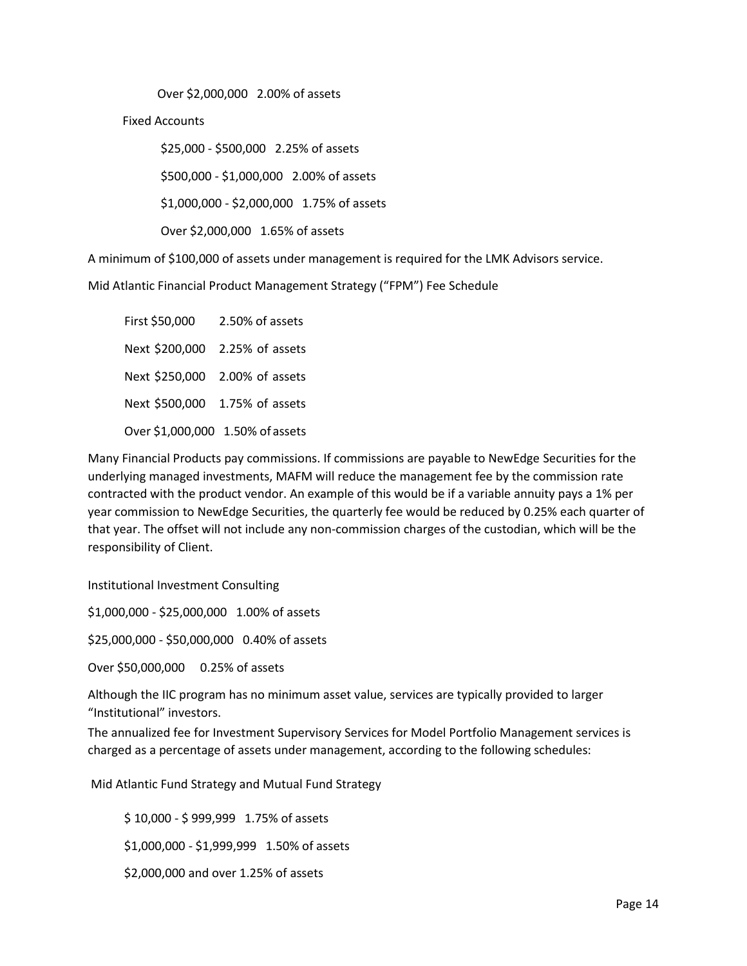Over \$2,000,000 2.00% of assets

Fixed Accounts

\$25,000 - \$500,000 2.25% of assets \$500,000 - \$1,000,000 2.00% of assets

\$1,000,000 - \$2,000,000 1.75% of assets

Over \$2,000,000 1.65% of assets

A minimum of \$100,000 of assets under management is required for the LMK Advisors service.

Mid Atlantic Financial Product Management Strategy ("FPM") Fee Schedule

First \$50,000 2.50% of assets Next \$200,000 2.25% of assets Next \$250,000 2.00% of assets Next \$500,000 1.75% of assets Over \$1,000,000 1.50% of assets

Many Financial Products pay commissions. If commissions are payable to NewEdge Securities for the underlying managed investments, MAFM will reduce the management fee by the commission rate contracted with the product vendor. An example of this would be if a variable annuity pays a 1% per year commission to NewEdge Securities, the quarterly fee would be reduced by 0.25% each quarter of that year. The offset will not include any non-commission charges of the custodian, which will be the responsibility of Client.

Institutional Investment Consulting

\$1,000,000 - \$25,000,000 1.00% of assets

\$25,000,000 - \$50,000,000 0.40% of assets

Over \$50,000,000 0.25% of assets

Although the IIC program has no minimum asset value, services are typically provided to larger "Institutional" investors.

The annualized fee for Investment Supervisory Services for Model Portfolio Management services is charged as a percentage of assets under management, according to the following schedules:

Mid Atlantic Fund Strategy and Mutual Fund Strategy

\$ 10,000 - \$ 999,999 1.75% of assets \$1,000,000 - \$1,999,999 1.50% of assets \$2,000,000 and over 1.25% of assets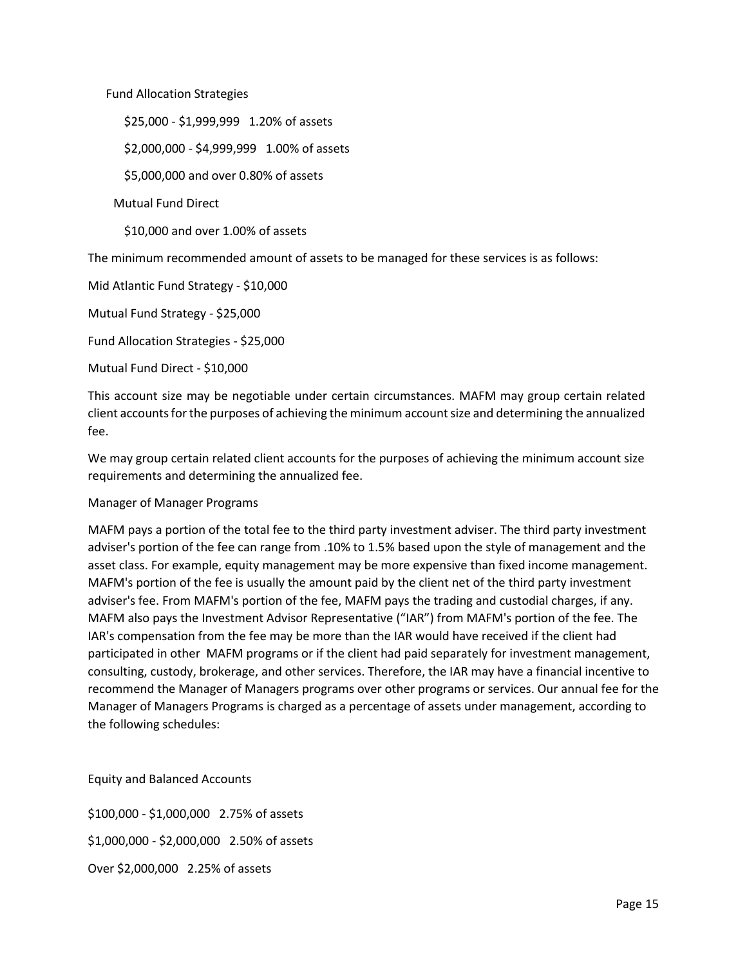Fund Allocation Strategies

\$25,000 - \$1,999,999 1.20% of assets

\$2,000,000 - \$4,999,999 1.00% of assets

\$5,000,000 and over 0.80% of assets

Mutual Fund Direct

\$10,000 and over 1.00% of assets

The minimum recommended amount of assets to be managed for these services is as follows:

Mid Atlantic Fund Strategy - \$10,000

Mutual Fund Strategy - \$25,000

Fund Allocation Strategies - \$25,000

Mutual Fund Direct - \$10,000

This account size may be negotiable under certain circumstances. MAFM may group certain related client accountsforthe purposes of achieving the minimum accountsize and determining the annualized fee.

We may group certain related client accounts for the purposes of achieving the minimum account size requirements and determining the annualized fee.

### Manager of Manager Programs

MAFM pays a portion of the total fee to the third party investment adviser. The third party investment adviser's portion of the fee can range from .10% to 1.5% based upon the style of management and the asset class. For example, equity management may be more expensive than fixed income management. MAFM's portion of the fee is usually the amount paid by the client net of the third party investment adviser's fee. From MAFM's portion of the fee, MAFM pays the trading and custodial charges, if any. MAFM also pays the Investment Advisor Representative ("IAR") from MAFM's portion of the fee. The IAR's compensation from the fee may be more than the IAR would have received if the client had participated in other MAFM programs or if the client had paid separately for investment management, consulting, custody, brokerage, and other services. Therefore, the IAR may have a financial incentive to recommend the Manager of Managers programs over other programs or services. Our annual fee for the Manager of Managers Programs is charged as a percentage of assets under management, according to the following schedules:

Equity and Balanced Accounts

\$100,000 - \$1,000,000 2.75% of assets \$1,000,000 - \$2,000,000 2.50% of assets Over \$2,000,000 2.25% of assets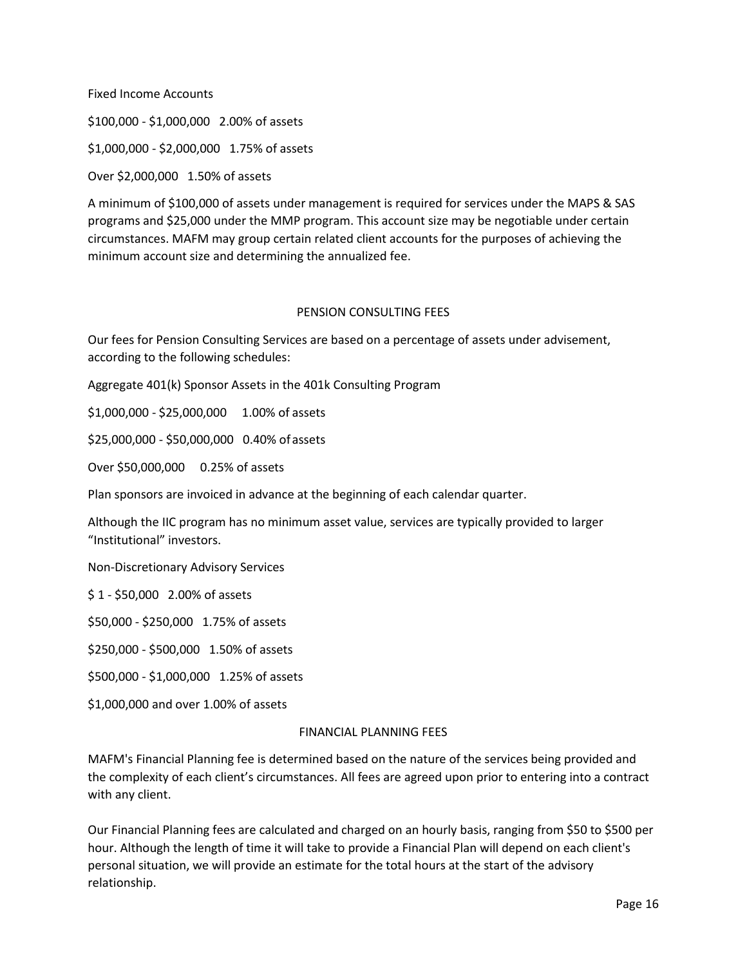Fixed Income Accounts

\$100,000 - \$1,000,000 2.00% of assets

\$1,000,000 - \$2,000,000 1.75% of assets

Over \$2,000,000 1.50% of assets

A minimum of \$100,000 of assets under management is required for services under the MAPS & SAS programs and \$25,000 under the MMP program. This account size may be negotiable under certain circumstances. MAFM may group certain related client accounts for the purposes of achieving the minimum account size and determining the annualized fee.

### PENSION CONSULTING FEES

Our fees for Pension Consulting Services are based on a percentage of assets under advisement, according to the following schedules:

Aggregate 401(k) Sponsor Assets in the 401k Consulting Program

\$1,000,000 - \$25,000,000 1.00% of assets

\$25,000,000 - \$50,000,000 0.40% ofassets

Over \$50,000,000 0.25% of assets

Plan sponsors are invoiced in advance at the beginning of each calendar quarter.

Although the IIC program has no minimum asset value, services are typically provided to larger "Institutional" investors.

Non-Discretionary Advisory Services

\$ 1 - \$50,000 2.00% of assets

\$50,000 - \$250,000 1.75% of assets

\$250,000 - \$500,000 1.50% of assets

\$500,000 - \$1,000,000 1.25% of assets

\$1,000,000 and over 1.00% of assets

#### FINANCIAL PLANNING FEES

MAFM's Financial Planning fee is determined based on the nature of the services being provided and the complexity of each client's circumstances. All fees are agreed upon prior to entering into a contract with any client.

Our Financial Planning fees are calculated and charged on an hourly basis, ranging from \$50 to \$500 per hour. Although the length of time it will take to provide a Financial Plan will depend on each client's personal situation, we will provide an estimate for the total hours at the start of the advisory relationship.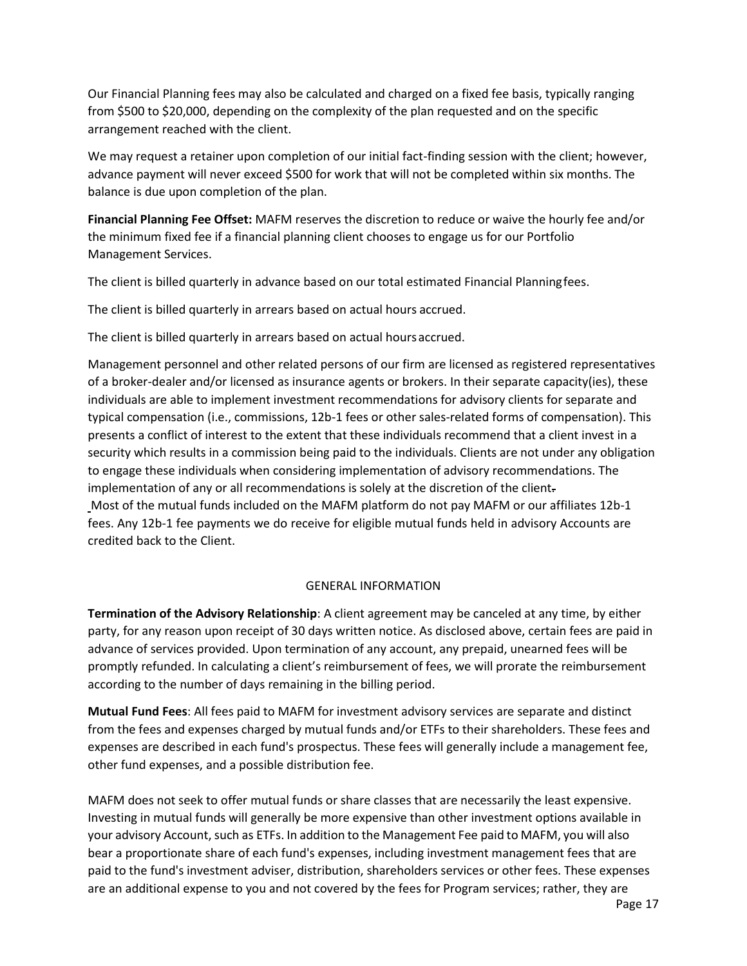Our Financial Planning fees may also be calculated and charged on a fixed fee basis, typically ranging from \$500 to \$20,000, depending on the complexity of the plan requested and on the specific arrangement reached with the client.

We may request a retainer upon completion of our initial fact-finding session with the client; however, advance payment will never exceed \$500 for work that will not be completed within six months. The balance is due upon completion of the plan.

**Financial Planning Fee Offset:** MAFM reserves the discretion to reduce or waive the hourly fee and/or the minimum fixed fee if a financial planning client chooses to engage us for our Portfolio Management Services.

The client is billed quarterly in advance based on our total estimated Financial Planningfees.

The client is billed quarterly in arrears based on actual hours accrued.

The client is billed quarterly in arrears based on actual hoursaccrued.

Management personnel and other related persons of our firm are licensed as registered representatives of a broker-dealer and/or licensed as insurance agents or brokers. In their separate capacity(ies), these individuals are able to implement investment recommendations for advisory clients for separate and typical compensation (i.e., commissions, 12b-1 fees or other sales-related forms of compensation). This presents a conflict of interest to the extent that these individuals recommend that a client invest in a security which results in a commission being paid to the individuals. Clients are not under any obligation to engage these individuals when considering implementation of advisory recommendations. The implementation of any or all recommendations is solely at the discretion of the client. Most of the mutual funds included on the MAFM platform do not pay MAFM or our affiliates 12b-1 fees. Any 12b-1 fee payments we do receive for eligible mutual funds held in advisory Accounts are credited back to the Client.

### GENERAL INFORMATION

**Termination of the Advisory Relationship**: A client agreement may be canceled at any time, by either party, for any reason upon receipt of 30 days written notice. As disclosed above, certain fees are paid in advance of services provided. Upon termination of any account, any prepaid, unearned fees will be promptly refunded. In calculating a client's reimbursement of fees, we will prorate the reimbursement according to the number of days remaining in the billing period.

**Mutual Fund Fees**: All fees paid to MAFM for investment advisory services are separate and distinct from the fees and expenses charged by mutual funds and/or ETFs to their shareholders. These fees and expenses are described in each fund's prospectus. These fees will generally include a management fee, other fund expenses, and a possible distribution fee.

MAFM does not seek to offer mutual funds or share classes that are necessarily the least expensive. Investing in mutual funds will generally be more expensive than other investment options available in your advisory Account, such as ETFs. In addition to the Management Fee paid to MAFM, you will also bear a proportionate share of each fund's expenses, including investment management fees that are paid to the fund's investment adviser, distribution, shareholders services or other fees. These expenses are an additional expense to you and not covered by the fees for Program services; rather, they are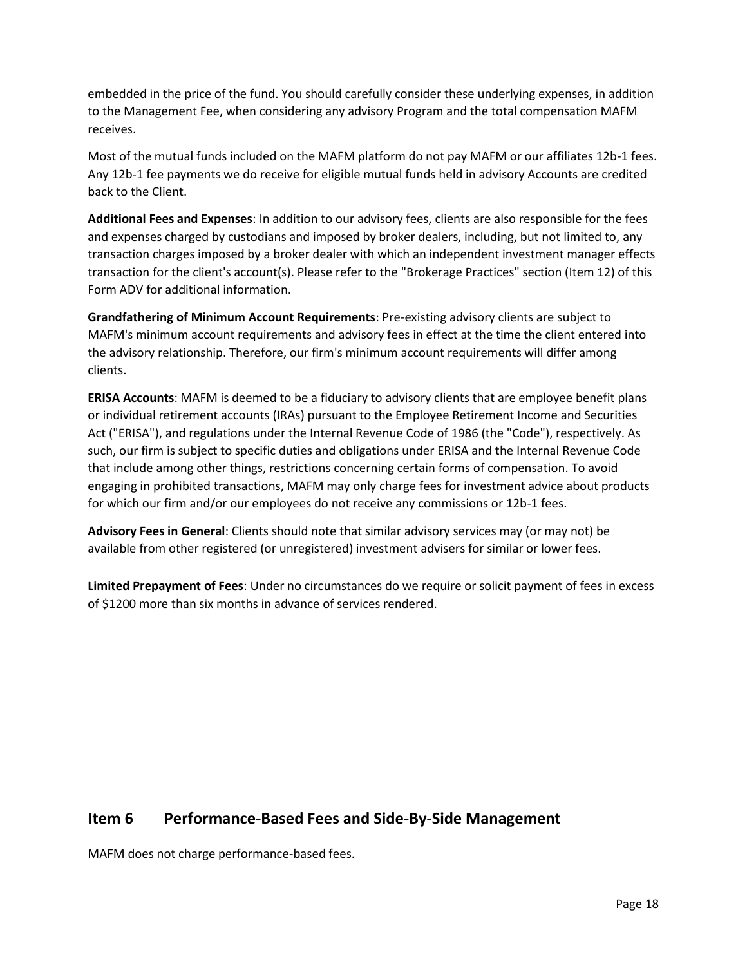embedded in the price of the fund. You should carefully consider these underlying expenses, in addition to the Management Fee, when considering any advisory Program and the total compensation MAFM receives.

Most of the mutual funds included on the MAFM platform do not pay MAFM or our affiliates 12b-1 fees. Any 12b-1 fee payments we do receive for eligible mutual funds held in advisory Accounts are credited back to the Client.

**Additional Fees and Expenses**: In addition to our advisory fees, clients are also responsible for the fees and expenses charged by custodians and imposed by broker dealers, including, but not limited to, any transaction charges imposed by a broker dealer with which an independent investment manager effects transaction for the client's account(s). Please refer to the "Brokerage Practices" section (Item 12) of this Form ADV for additional information.

**Grandfathering of Minimum Account Requirements**: Pre-existing advisory clients are subject to MAFM's minimum account requirements and advisory fees in effect at the time the client entered into the advisory relationship. Therefore, our firm's minimum account requirements will differ among clients.

**ERISA Accounts**: MAFM is deemed to be a fiduciary to advisory clients that are employee benefit plans or individual retirement accounts (IRAs) pursuant to the Employee Retirement Income and Securities Act ("ERISA"), and regulations under the Internal Revenue Code of 1986 (the "Code"), respectively. As such, our firm is subject to specific duties and obligations under ERISA and the Internal Revenue Code that include among other things, restrictions concerning certain forms of compensation. To avoid engaging in prohibited transactions, MAFM may only charge fees for investment advice about products for which our firm and/or our employees do not receive any commissions or 12b-1 fees.

**Advisory Fees in General**: Clients should note that similar advisory services may (or may not) be available from other registered (or unregistered) investment advisers for similar or lower fees.

**Limited Prepayment of Fees**: Under no circumstances do we require or solicit payment of fees in excess of \$1200 more than six months in advance of services rendered.

# <span id="page-17-0"></span>**Item 6 Performance-Based Fees and Side-By-Side Management**

MAFM does not charge performance-based fees.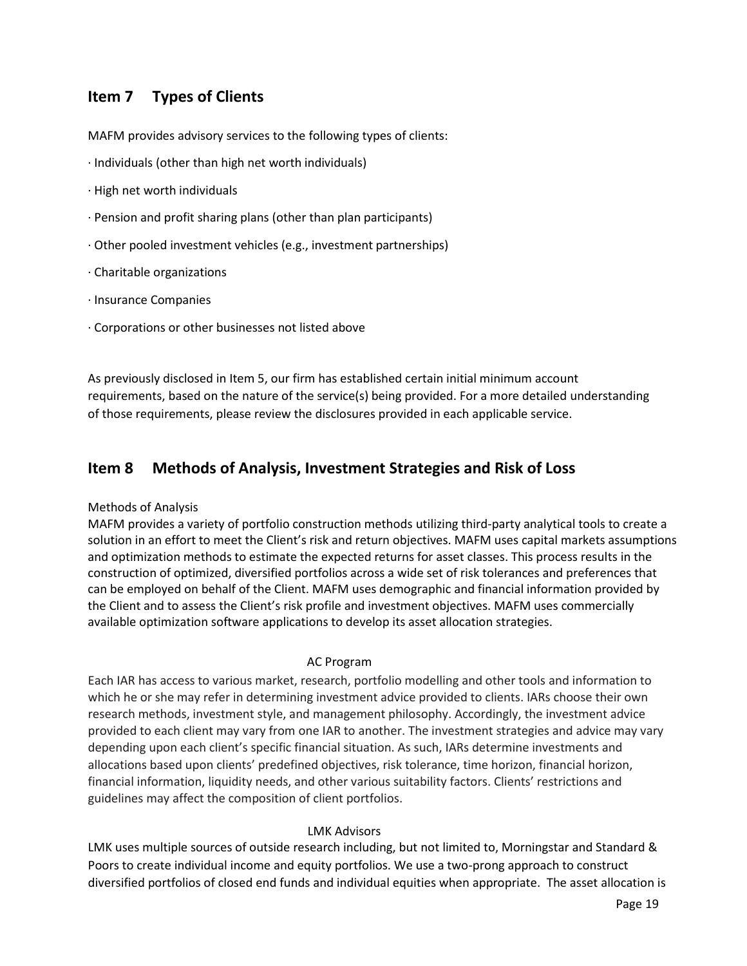# <span id="page-18-0"></span>**Item 7 Types of Clients**

MAFM provides advisory services to the following types of clients:

- · Individuals (other than high net worth individuals)
- · High net worth individuals
- · Pension and profit sharing plans (other than plan participants)
- · Other pooled investment vehicles (e.g., investment partnerships)
- · Charitable organizations
- · Insurance Companies
- · Corporations or other businesses not listed above

As previously disclosed in Item 5, our firm has established certain initial minimum account requirements, based on the nature of the service(s) being provided. For a more detailed understanding of those requirements, please review the disclosures provided in each applicable service.

### <span id="page-18-1"></span>**Item 8 Methods of Analysis, Investment Strategies and Risk of Loss**

#### Methods of Analysis

MAFM provides a variety of portfolio construction methods utilizing third-party analytical tools to create a solution in an effort to meet the Client's risk and return objectives. MAFM uses capital markets assumptions and optimization methods to estimate the expected returns for asset classes. This process results in the construction of optimized, diversified portfolios across a wide set of risk tolerances and preferences that can be employed on behalf of the Client. MAFM uses demographic and financial information provided by the Client and to assess the Client's risk profile and investment objectives. MAFM uses commercially available optimization software applications to develop its asset allocation strategies.

#### AC Program

Each IAR has access to various market, research, portfolio modelling and other tools and information to which he or she may refer in determining investment advice provided to clients. IARs choose their own research methods, investment style, and management philosophy. Accordingly, the investment advice provided to each client may vary from one IAR to another. The investment strategies and advice may vary depending upon each client's specific financial situation. As such, IARs determine investments and allocations based upon clients' predefined objectives, risk tolerance, time horizon, financial horizon, financial information, liquidity needs, and other various suitability factors. Clients' restrictions and guidelines may affect the composition of client portfolios.

#### LMK Advisors

LMK uses multiple sources of outside research including, but not limited to, Morningstar and Standard & Poors to create individual income and equity portfolios. We use a two-prong approach to construct diversified portfolios of closed end funds and individual equities when appropriate. The asset allocation is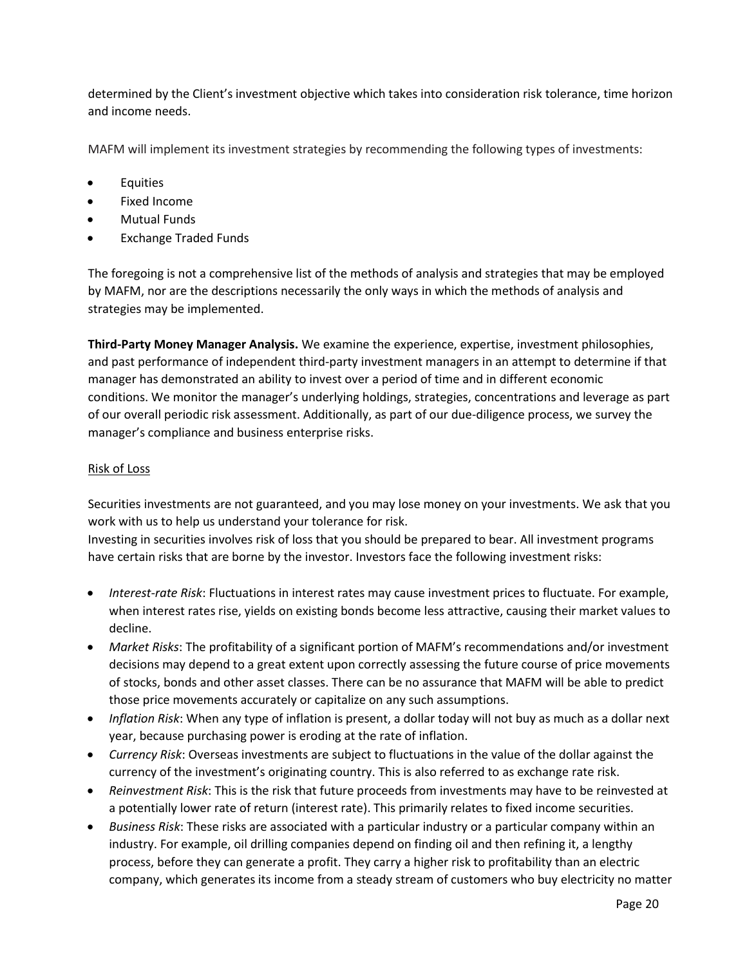determined by the Client's investment objective which takes into consideration risk tolerance, time horizon and income needs.

MAFM will implement its investment strategies by recommending the following types of investments:

- **Equities**
- Fixed Income
- Mutual Funds
- Exchange Traded Funds

The foregoing is not a comprehensive list of the methods of analysis and strategies that may be employed by MAFM, nor are the descriptions necessarily the only ways in which the methods of analysis and strategies may be implemented.

**Third-Party Money Manager Analysis.** We examine the experience, expertise, investment philosophies, and past performance of independent third-party investment managers in an attempt to determine if that manager has demonstrated an ability to invest over a period of time and in different economic conditions. We monitor the manager's underlying holdings, strategies, concentrations and leverage as part of our overall periodic risk assessment. Additionally, as part of our due-diligence process, we survey the manager's compliance and business enterprise risks.

### Risk of Loss

Securities investments are not guaranteed, and you may lose money on your investments. We ask that you work with us to help us understand your tolerance for risk.

Investing in securities involves risk of loss that you should be prepared to bear. All investment programs have certain risks that are borne by the investor. Investors face the following investment risks:

- *Interest-rate Risk*: Fluctuations in interest rates may cause investment prices to fluctuate. For example, when interest rates rise, yields on existing bonds become less attractive, causing their market values to decline.
- *Market Risks*: The profitability of a significant portion of MAFM's recommendations and/or investment decisions may depend to a great extent upon correctly assessing the future course of price movements of stocks, bonds and other asset classes. There can be no assurance that MAFM will be able to predict those price movements accurately or capitalize on any such assumptions.
- *Inflation Risk*: When any type of inflation is present, a dollar today will not buy as much as a dollar next year, because purchasing power is eroding at the rate of inflation.
- *Currency Risk*: Overseas investments are subject to fluctuations in the value of the dollar against the currency of the investment's originating country. This is also referred to as exchange rate risk.
- *Reinvestment Risk*: This is the risk that future proceeds from investments may have to be reinvested at a potentially lower rate of return (interest rate). This primarily relates to fixed income securities.
- *Business Risk*: These risks are associated with a particular industry or a particular company within an industry. For example, oil drilling companies depend on finding oil and then refining it, a lengthy process, before they can generate a profit. They carry a higher risk to profitability than an electric company, which generates its income from a steady stream of customers who buy electricity no matter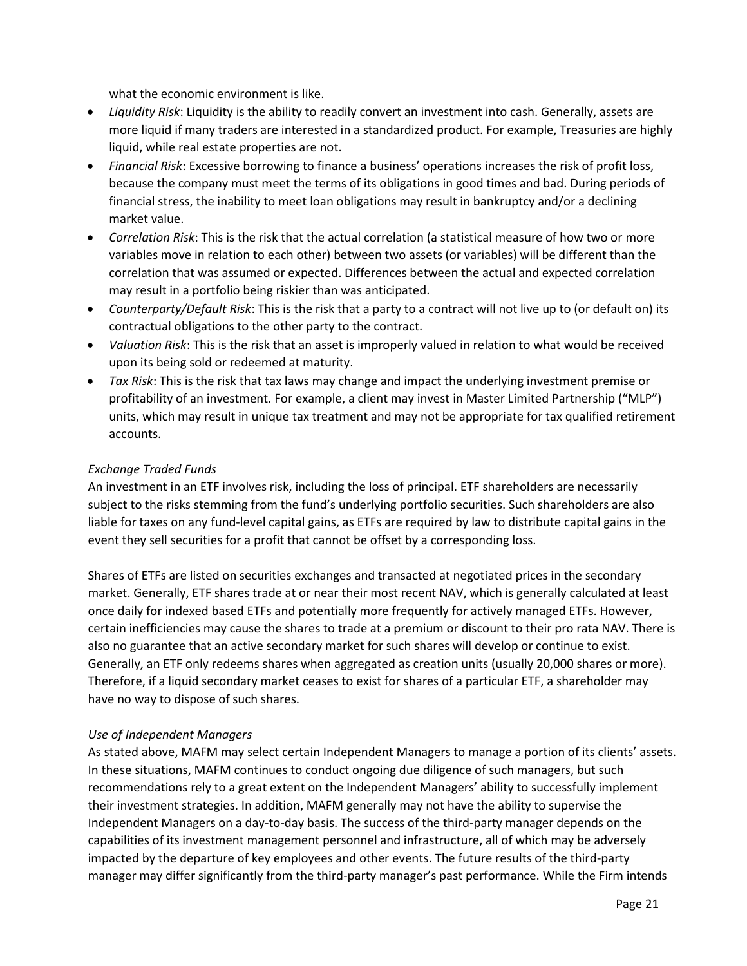what the economic environment is like.

- *Liquidity Risk*: Liquidity is the ability to readily convert an investment into cash. Generally, assets are more liquid if many traders are interested in a standardized product. For example, Treasuries are highly liquid, while real estate properties are not.
- *Financial Risk*: Excessive borrowing to finance a business' operations increases the risk of profit loss, because the company must meet the terms of its obligations in good times and bad. During periods of financial stress, the inability to meet loan obligations may result in bankruptcy and/or a declining market value.
- *Correlation Risk*: This is the risk that the actual correlation (a statistical measure of how two or more variables move in relation to each other) between two assets (or variables) will be different than the correlation that was assumed or expected. Differences between the actual and expected correlation may result in a portfolio being riskier than was anticipated.
- *Counterparty/Default Risk*: This is the risk that a party to a contract will not live up to (or default on) its contractual obligations to the other party to the contract.
- *Valuation Risk*: This is the risk that an asset is improperly valued in relation to what would be received upon its being sold or redeemed at maturity.
- *Tax Risk*: This is the risk that tax laws may change and impact the underlying investment premise or profitability of an investment. For example, a client may invest in Master Limited Partnership ("MLP") units, which may result in unique tax treatment and may not be appropriate for tax qualified retirement accounts.

### *Exchange Traded Funds*

An investment in an ETF involves risk, including the loss of principal. ETF shareholders are necessarily subject to the risks stemming from the fund's underlying portfolio securities. Such shareholders are also liable for taxes on any fund-level capital gains, as ETFs are required by law to distribute capital gains in the event they sell securities for a profit that cannot be offset by a corresponding loss.

Shares of ETFs are listed on securities exchanges and transacted at negotiated prices in the secondary market. Generally, ETF shares trade at or near their most recent NAV, which is generally calculated at least once daily for indexed based ETFs and potentially more frequently for actively managed ETFs. However, certain inefficiencies may cause the shares to trade at a premium or discount to their pro rata NAV. There is also no guarantee that an active secondary market for such shares will develop or continue to exist. Generally, an ETF only redeems shares when aggregated as creation units (usually 20,000 shares or more). Therefore, if a liquid secondary market ceases to exist for shares of a particular ETF, a shareholder may have no way to dispose of such shares.

### *Use of Independent Managers*

As stated above, MAFM may select certain Independent Managers to manage a portion of its clients' assets. In these situations, MAFM continues to conduct ongoing due diligence of such managers, but such recommendations rely to a great extent on the Independent Managers' ability to successfully implement their investment strategies. In addition, MAFM generally may not have the ability to supervise the Independent Managers on a day-to-day basis. The success of the third-party manager depends on the capabilities of its investment management personnel and infrastructure, all of which may be adversely impacted by the departure of key employees and other events. The future results of the third-party manager may differ significantly from the third-party manager's past performance. While the Firm intends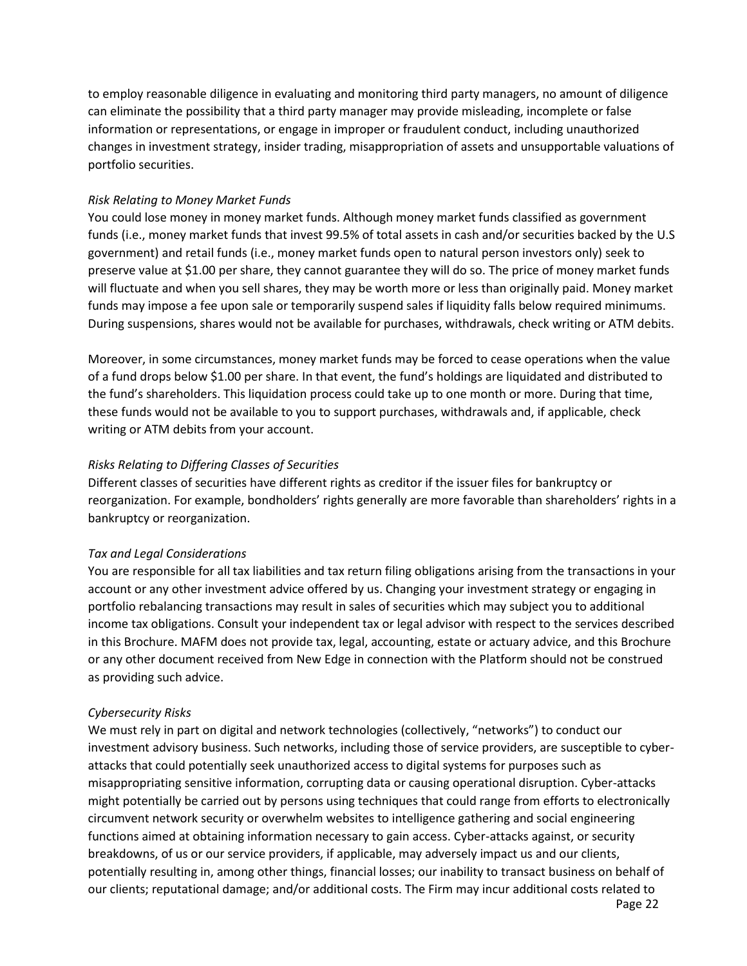to employ reasonable diligence in evaluating and monitoring third party managers, no amount of diligence can eliminate the possibility that a third party manager may provide misleading, incomplete or false information or representations, or engage in improper or fraudulent conduct, including unauthorized changes in investment strategy, insider trading, misappropriation of assets and unsupportable valuations of portfolio securities.

### *Risk Relating to Money Market Funds*

You could lose money in money market funds. Although money market funds classified as government funds (i.e., money market funds that invest 99.5% of total assets in cash and/or securities backed by the U.S government) and retail funds (i.e., money market funds open to natural person investors only) seek to preserve value at \$1.00 per share, they cannot guarantee they will do so. The price of money market funds will fluctuate and when you sell shares, they may be worth more or less than originally paid. Money market funds may impose a fee upon sale or temporarily suspend sales if liquidity falls below required minimums. During suspensions, shares would not be available for purchases, withdrawals, check writing or ATM debits.

Moreover, in some circumstances, money market funds may be forced to cease operations when the value of a fund drops below \$1.00 per share. In that event, the fund's holdings are liquidated and distributed to the fund's shareholders. This liquidation process could take up to one month or more. During that time, these funds would not be available to you to support purchases, withdrawals and, if applicable, check writing or ATM debits from your account.

### *Risks Relating to Differing Classes of Securities*

Different classes of securities have different rights as creditor if the issuer files for bankruptcy or reorganization. For example, bondholders' rights generally are more favorable than shareholders' rights in a bankruptcy or reorganization.

### *Tax and Legal Considerations*

You are responsible for all tax liabilities and tax return filing obligations arising from the transactions in your account or any other investment advice offered by us. Changing your investment strategy or engaging in portfolio rebalancing transactions may result in sales of securities which may subject you to additional income tax obligations. Consult your independent tax or legal advisor with respect to the services described in this Brochure. MAFM does not provide tax, legal, accounting, estate or actuary advice, and this Brochure or any other document received from New Edge in connection with the Platform should not be construed as providing such advice.

### *Cybersecurity Risks*

We must rely in part on digital and network technologies (collectively, "networks") to conduct our investment advisory business. Such networks, including those of service providers, are susceptible to cyberattacks that could potentially seek unauthorized access to digital systems for purposes such as misappropriating sensitive information, corrupting data or causing operational disruption. Cyber-attacks might potentially be carried out by persons using techniques that could range from efforts to electronically circumvent network security or overwhelm websites to intelligence gathering and social engineering functions aimed at obtaining information necessary to gain access. Cyber-attacks against, or security breakdowns, of us or our service providers, if applicable, may adversely impact us and our clients, potentially resulting in, among other things, financial losses; our inability to transact business on behalf of our clients; reputational damage; and/or additional costs. The Firm may incur additional costs related to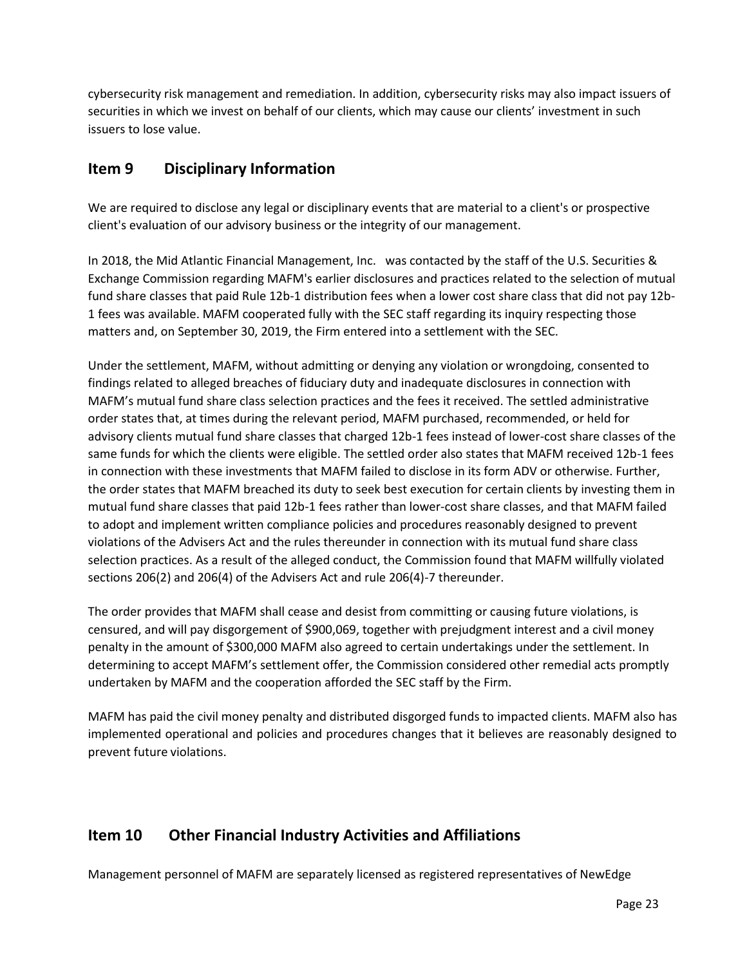cybersecurity risk management and remediation. In addition, cybersecurity risks may also impact issuers of securities in which we invest on behalf of our clients, which may cause our clients' investment in such issuers to lose value.

# <span id="page-22-0"></span>**Item 9 Disciplinary Information**

We are required to disclose any legal or disciplinary events that are material to a client's or prospective client's evaluation of our advisory business or the integrity of our management.

In 2018, the Mid Atlantic Financial Management, Inc. was contacted by the staff of the U.S. Securities & Exchange Commission regarding MAFM's earlier disclosures and practices related to the selection of mutual fund share classes that paid Rule 12b-1 distribution fees when a lower cost share class that did not pay 12b-1 fees was available. MAFM cooperated fully with the SEC staff regarding its inquiry respecting those matters and, on September 30, 2019, the Firm entered into a settlement with the SEC.

Under the settlement, MAFM, without admitting or denying any violation or wrongdoing, consented to findings related to alleged breaches of fiduciary duty and inadequate disclosures in connection with MAFM's mutual fund share class selection practices and the fees it received. The settled administrative order states that, at times during the relevant period, MAFM purchased, recommended, or held for advisory clients mutual fund share classes that charged 12b-1 fees instead of lower-cost share classes of the same funds for which the clients were eligible. The settled order also states that MAFM received 12b-1 fees in connection with these investments that MAFM failed to disclose in its form ADV or otherwise. Further, the order states that MAFM breached its duty to seek best execution for certain clients by investing them in mutual fund share classes that paid 12b-1 fees rather than lower-cost share classes, and that MAFM failed to adopt and implement written compliance policies and procedures reasonably designed to prevent violations of the Advisers Act and the rules thereunder in connection with its mutual fund share class selection practices. As a result of the alleged conduct, the Commission found that MAFM willfully violated sections 206(2) and 206(4) of the Advisers Act and rule 206(4)-7 thereunder.

The order provides that MAFM shall cease and desist from committing or causing future violations, is censured, and will pay disgorgement of \$900,069, together with prejudgment interest and a civil money penalty in the amount of \$300,000 MAFM also agreed to certain undertakings under the settlement. In determining to accept MAFM's settlement offer, the Commission considered other remedial acts promptly undertaken by MAFM and the cooperation afforded the SEC staff by the Firm.

MAFM has paid the civil money penalty and distributed disgorged funds to impacted clients. MAFM also has implemented operational and policies and procedures changes that it believes are reasonably designed to prevent future violations.

# <span id="page-22-1"></span>**Item 10 Other Financial Industry Activities and Affiliations**

Management personnel of MAFM are separately licensed as registered representatives of NewEdge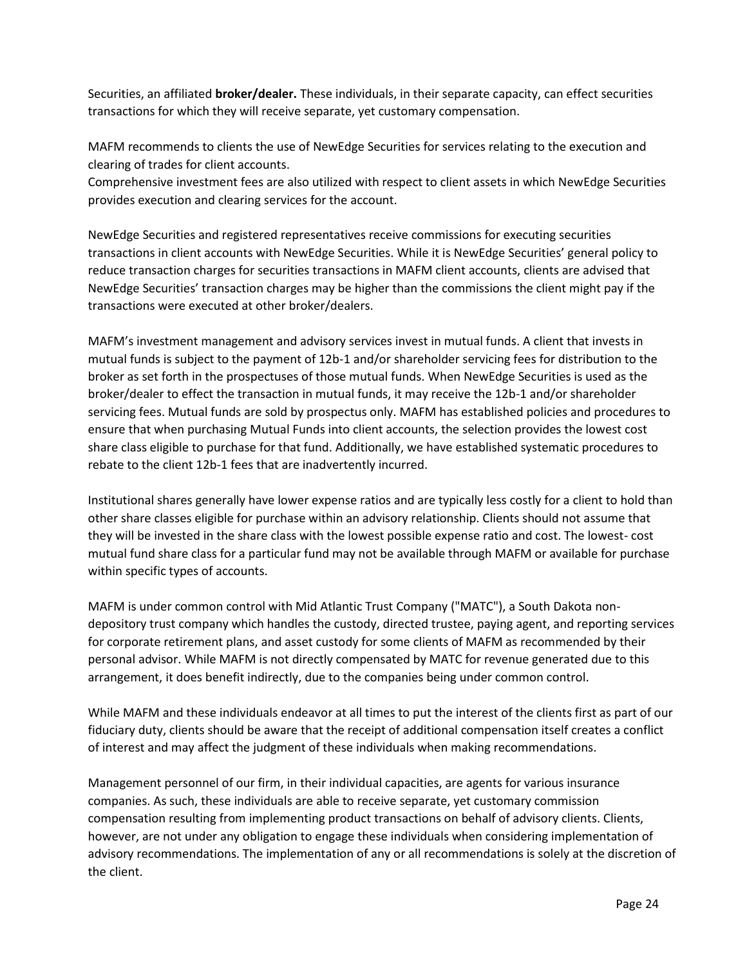Securities, an affiliated **broker/dealer.** These individuals, in their separate capacity, can effect securities transactions for which they will receive separate, yet customary compensation.

MAFM recommends to clients the use of NewEdge Securities for services relating to the execution and clearing of trades for client accounts.

Comprehensive investment fees are also utilized with respect to client assets in which NewEdge Securities provides execution and clearing services for the account.

NewEdge Securities and registered representatives receive commissions for executing securities transactions in client accounts with NewEdge Securities. While it is NewEdge Securities' general policy to reduce transaction charges for securities transactions in MAFM client accounts, clients are advised that NewEdge Securities' transaction charges may be higher than the commissions the client might pay if the transactions were executed at other broker/dealers.

MAFM's investment management and advisory services invest in mutual funds. A client that invests in mutual funds is subject to the payment of 12b-1 and/or shareholder servicing fees for distribution to the broker as set forth in the prospectuses of those mutual funds. When NewEdge Securities is used as the broker/dealer to effect the transaction in mutual funds, it may receive the 12b-1 and/or shareholder servicing fees. Mutual funds are sold by prospectus only. MAFM has established policies and procedures to ensure that when purchasing Mutual Funds into client accounts, the selection provides the lowest cost share class eligible to purchase for that fund. Additionally, we have established systematic procedures to rebate to the client 12b-1 fees that are inadvertently incurred.

Institutional shares generally have lower expense ratios and are typically less costly for a client to hold than other share classes eligible for purchase within an advisory relationship. Clients should not assume that they will be invested in the share class with the lowest possible expense ratio and cost. The lowest- cost mutual fund share class for a particular fund may not be available through MAFM or available for purchase within specific types of accounts.

MAFM is under common control with Mid Atlantic Trust Company ("MATC"), a South Dakota nondepository trust company which handles the custody, directed trustee, paying agent, and reporting services for corporate retirement plans, and asset custody for some clients of MAFM as recommended by their personal advisor. While MAFM is not directly compensated by MATC for revenue generated due to this arrangement, it does benefit indirectly, due to the companies being under common control.

While MAFM and these individuals endeavor at all times to put the interest of the clients first as part of our fiduciary duty, clients should be aware that the receipt of additional compensation itself creates a conflict of interest and may affect the judgment of these individuals when making recommendations.

Management personnel of our firm, in their individual capacities, are agents for various insurance companies. As such, these individuals are able to receive separate, yet customary commission compensation resulting from implementing product transactions on behalf of advisory clients. Clients, however, are not under any obligation to engage these individuals when considering implementation of advisory recommendations. The implementation of any or all recommendations is solely at the discretion of the client.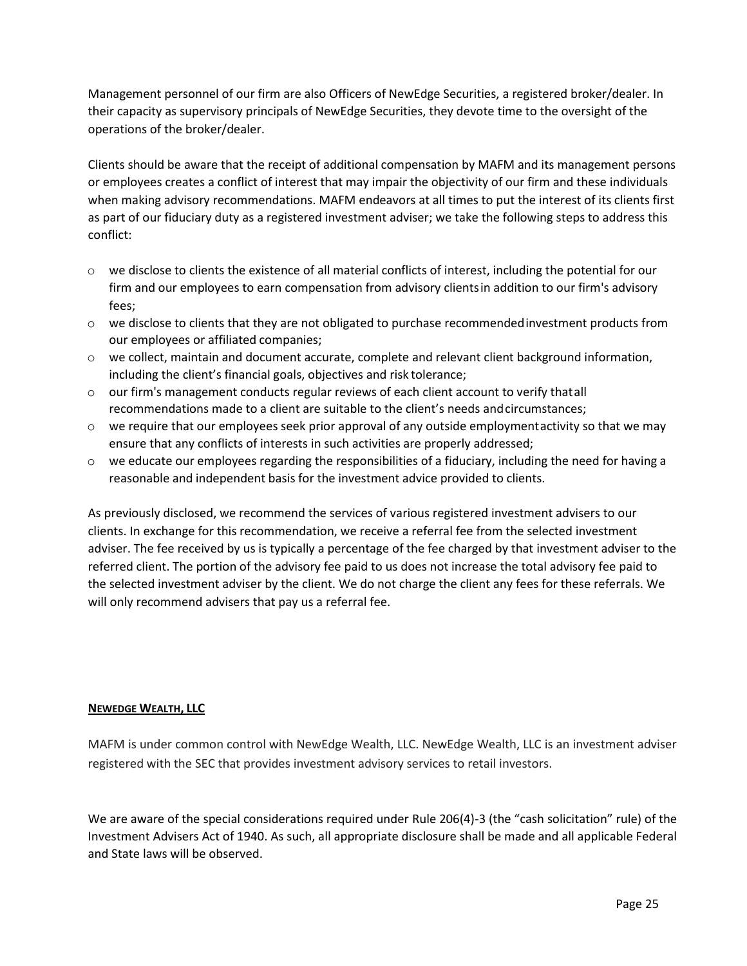Management personnel of our firm are also Officers of NewEdge Securities, a registered broker/dealer. In their capacity as supervisory principals of NewEdge Securities, they devote time to the oversight of the operations of the broker/dealer.

Clients should be aware that the receipt of additional compensation by MAFM and its management persons or employees creates a conflict of interest that may impair the objectivity of our firm and these individuals when making advisory recommendations. MAFM endeavors at all times to put the interest of its clients first as part of our fiduciary duty as a registered investment adviser; we take the following steps to address this conflict:

- o we disclose to clients the existence of all material conflicts of interest, including the potential for our firm and our employees to earn compensation from advisory clientsin addition to our firm's advisory fees;
- $\circ$  we disclose to clients that they are not obligated to purchase recommended investment products from our employees or affiliated companies;
- $\circ$  we collect, maintain and document accurate, complete and relevant client background information, including the client's financial goals, objectives and risk tolerance;
- $\circ$  our firm's management conducts regular reviews of each client account to verify thatall recommendations made to a client are suitable to the client's needs andcircumstances;
- $\circ$  we require that our employees seek prior approval of any outside employmentactivity so that we may ensure that any conflicts of interests in such activities are properly addressed;
- $\circ$  we educate our employees regarding the responsibilities of a fiduciary, including the need for having a reasonable and independent basis for the investment advice provided to clients.

As previously disclosed, we recommend the services of various registered investment advisers to our clients. In exchange for this recommendation, we receive a referral fee from the selected investment adviser. The fee received by us is typically a percentage of the fee charged by that investment adviser to the referred client. The portion of the advisory fee paid to us does not increase the total advisory fee paid to the selected investment adviser by the client. We do not charge the client any fees for these referrals. We will only recommend advisers that pay us a referral fee.

### **NEWEDGE WEALTH, LLC**

MAFM is under common control with NewEdge Wealth, LLC. NewEdge Wealth, LLC is an investment adviser registered with the SEC that provides investment advisory services to retail investors.

<span id="page-24-0"></span>We are aware of the special considerations required under Rule 206(4)-3 (the "cash solicitation" rule) of the Investment Advisers Act of 1940. As such, all appropriate disclosure shall be made and all applicable Federal and State laws will be observed.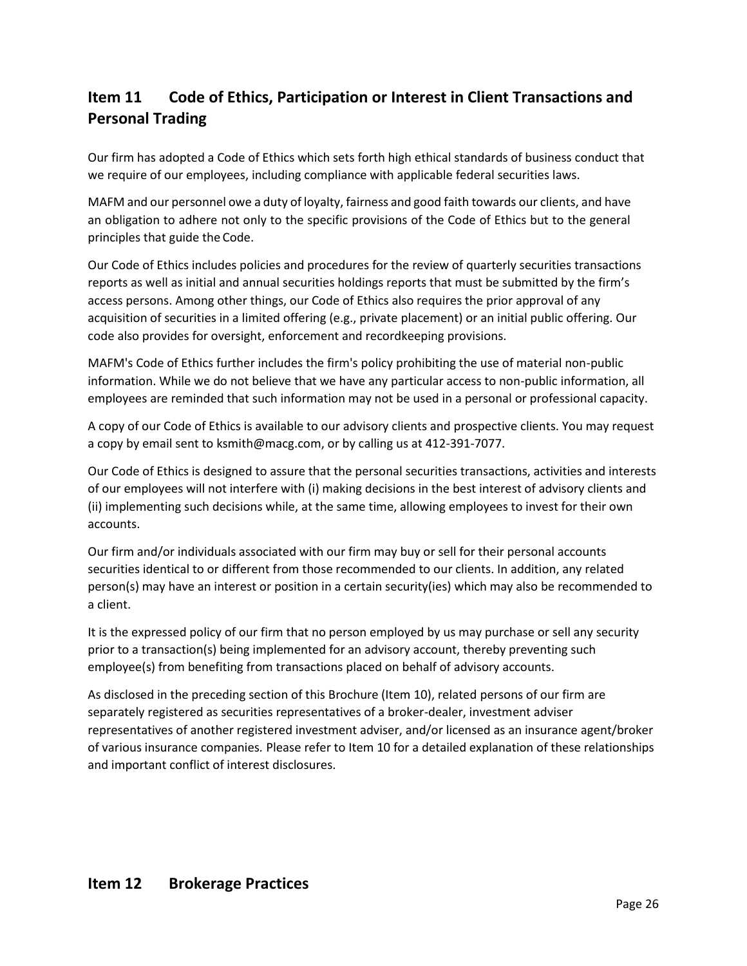# **Item 11 Code of Ethics, Participation or Interest in Client Transactions and Personal Trading**

Our firm has adopted a Code of Ethics which sets forth high ethical standards of business conduct that we require of our employees, including compliance with applicable federal securities laws.

MAFM and our personnel owe a duty of loyalty, fairness and good faith towards our clients, and have an obligation to adhere not only to the specific provisions of the Code of Ethics but to the general principles that guide the Code.

Our Code of Ethics includes policies and procedures for the review of quarterly securities transactions reports as well as initial and annual securities holdings reports that must be submitted by the firm's access persons. Among other things, our Code of Ethics also requires the prior approval of any acquisition of securities in a limited offering (e.g., private placement) or an initial public offering. Our code also provides for oversight, enforcement and recordkeeping provisions.

MAFM's Code of Ethics further includes the firm's policy prohibiting the use of material non-public information. While we do not believe that we have any particular access to non-public information, all employees are reminded that such information may not be used in a personal or professional capacity.

A copy of our Code of Ethics is available to our advisory clients and prospective clients. You may request a copy by email sent to [ksmith@macg.com, o](mailto:ksmith@macg.com)r by calling us at 412-391-7077.

Our Code of Ethics is designed to assure that the personal securities transactions, activities and interests of our employees will not interfere with (i) making decisions in the best interest of advisory clients and (ii) implementing such decisions while, at the same time, allowing employees to invest for their own accounts.

Our firm and/or individuals associated with our firm may buy or sell for their personal accounts securities identical to or different from those recommended to our clients. In addition, any related person(s) may have an interest or position in a certain security(ies) which may also be recommended to a client.

It is the expressed policy of our firm that no person employed by us may purchase or sell any security prior to a transaction(s) being implemented for an advisory account, thereby preventing such employee(s) from benefiting from transactions placed on behalf of advisory accounts.

<span id="page-25-0"></span>As disclosed in the preceding section of this Brochure (Item 10), related persons of our firm are separately registered as securities representatives of a broker-dealer, investment adviser representatives of another registered investment adviser, and/or licensed as an insurance agent/broker of various insurance companies*.* Please refer to Item 10 for a detailed explanation of these relationships and important conflict of interest disclosures.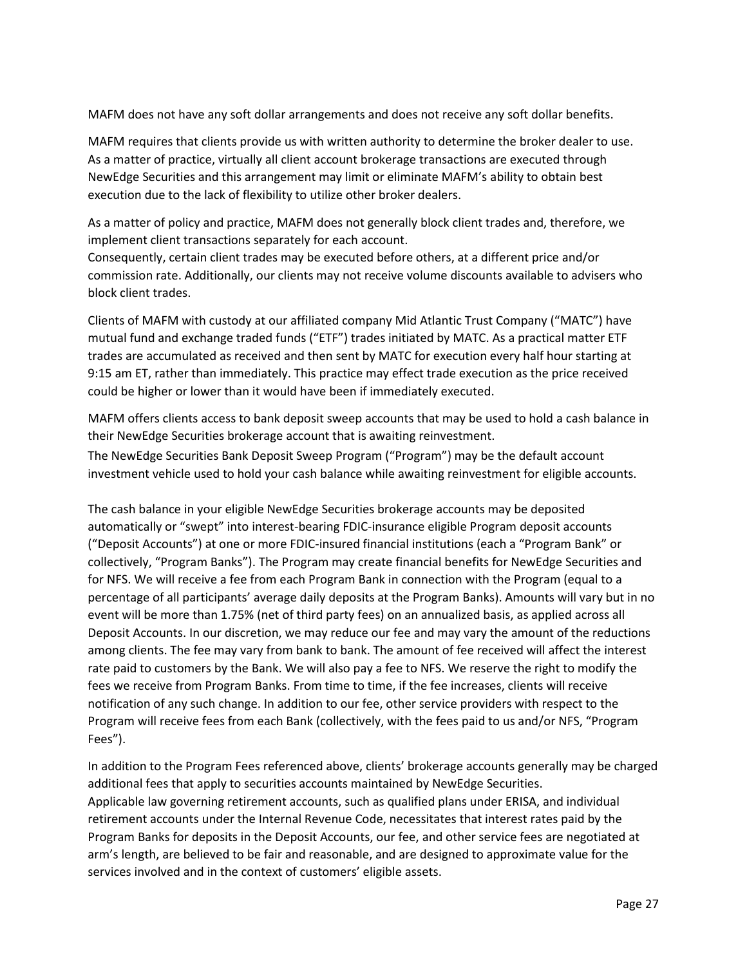MAFM does not have any soft dollar arrangements and does not receive any soft dollar benefits.

MAFM requires that clients provide us with written authority to determine the broker dealer to use. As a matter of practice, virtually all client account brokerage transactions are executed through NewEdge Securities and this arrangement may limit or eliminate MAFM's ability to obtain best execution due to the lack of flexibility to utilize other broker dealers.

As a matter of policy and practice, MAFM does not generally block client trades and, therefore, we implement client transactions separately for each account.

Consequently, certain client trades may be executed before others, at a different price and/or commission rate. Additionally, our clients may not receive volume discounts available to advisers who block client trades.

Clients of MAFM with custody at our affiliated company Mid Atlantic Trust Company ("MATC") have mutual fund and exchange traded funds ("ETF") trades initiated by MATC. As a practical matter ETF trades are accumulated as received and then sent by MATC for execution every half hour starting at 9:15 am ET, rather than immediately. This practice may effect trade execution as the price received could be higher or lower than it would have been if immediately executed.

MAFM offers clients access to bank deposit sweep accounts that may be used to hold a cash balance in their NewEdge Securities brokerage account that is awaiting reinvestment.

The NewEdge Securities Bank Deposit Sweep Program ("Program") may be the default account investment vehicle used to hold your cash balance while awaiting reinvestment for eligible accounts.

The cash balance in your eligible NewEdge Securities brokerage accounts may be deposited automatically or "swept" into interest-bearing FDIC-insurance eligible Program deposit accounts ("Deposit Accounts") at one or more FDIC-insured financial institutions (each a "Program Bank" or collectively, "Program Banks"). The Program may create financial benefits for NewEdge Securities and for NFS. We will receive a fee from each Program Bank in connection with the Program (equal to a percentage of all participants' average daily deposits at the Program Banks). Amounts will vary but in no event will be more than 1.75% (net of third party fees) on an annualized basis, as applied across all Deposit Accounts. In our discretion, we may reduce our fee and may vary the amount of the reductions among clients. The fee may vary from bank to bank. The amount of fee received will affect the interest rate paid to customers by the Bank. We will also pay a fee to NFS. We reserve the right to modify the fees we receive from Program Banks. From time to time, if the fee increases, clients will receive notification of any such change. In addition to our fee, other service providers with respect to the Program will receive fees from each Bank (collectively, with the fees paid to us and/or NFS, "Program Fees").

In addition to the Program Fees referenced above, clients' brokerage accounts generally may be charged additional fees that apply to securities accounts maintained by NewEdge Securities. Applicable law governing retirement accounts, such as qualified plans under ERISA, and individual retirement accounts under the Internal Revenue Code, necessitates that interest rates paid by the Program Banks for deposits in the Deposit Accounts, our fee, and other service fees are negotiated at arm's length, are believed to be fair and reasonable, and are designed to approximate value for the services involved and in the context of customers' eligible assets.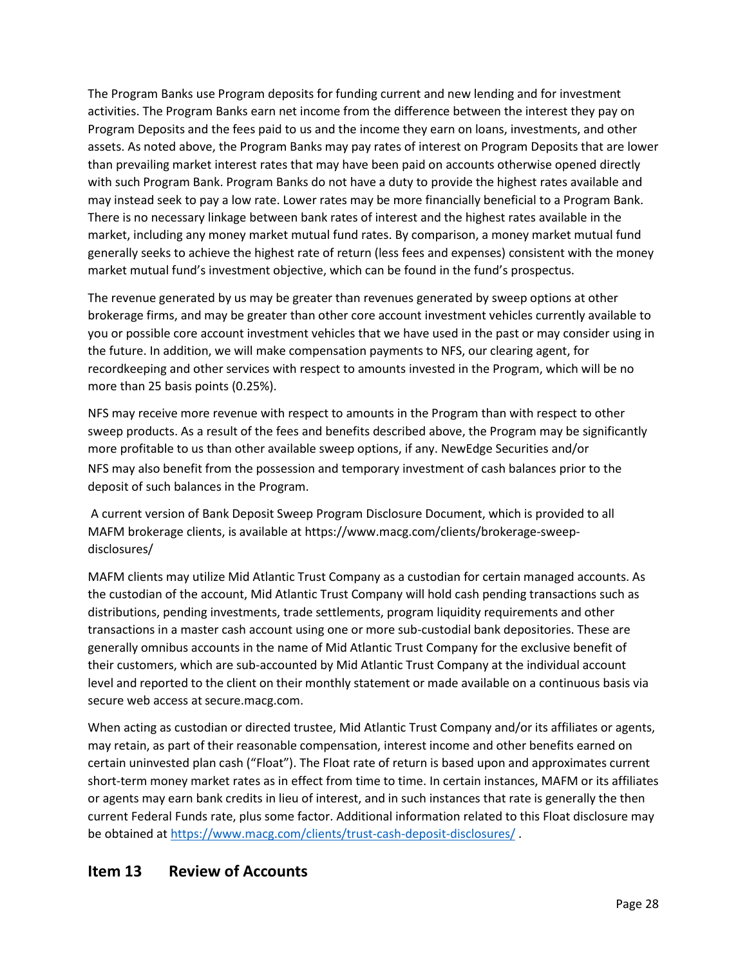The Program Banks use Program deposits for funding current and new lending and for investment activities. The Program Banks earn net income from the difference between the interest they pay on Program Deposits and the fees paid to us and the income they earn on loans, investments, and other assets. As noted above, the Program Banks may pay rates of interest on Program Deposits that are lower than prevailing market interest rates that may have been paid on accounts otherwise opened directly with such Program Bank. Program Banks do not have a duty to provide the highest rates available and may instead seek to pay a low rate. Lower rates may be more financially beneficial to a Program Bank. There is no necessary linkage between bank rates of interest and the highest rates available in the market, including any money market mutual fund rates. By comparison, a money market mutual fund generally seeks to achieve the highest rate of return (less fees and expenses) consistent with the money market mutual fund's investment objective, which can be found in the fund's prospectus.

The revenue generated by us may be greater than revenues generated by sweep options at other brokerage firms, and may be greater than other core account investment vehicles currently available to you or possible core account investment vehicles that we have used in the past or may consider using in the future. In addition, we will make compensation payments to NFS, our clearing agent, for recordkeeping and other services with respect to amounts invested in the Program, which will be no more than 25 basis points (0.25%).

NFS may receive more revenue with respect to amounts in the Program than with respect to other sweep products. As a result of the fees and benefits described above, the Program may be significantly more profitable to us than other available sweep options, if any. NewEdge Securities and/or NFS may also benefit from the possession and temporary investment of cash balances prior to the deposit of such balances in the Program.

A current version of Bank Deposit Sweep Program Disclosure Document, which is provided to all MAFM brokerage clients, is available at https[://www.macg.com/clients/brokerage-sweep](http://www.macg.com/clients/brokerage-sweep-disclosures/)[disclosures/](http://www.macg.com/clients/brokerage-sweep-disclosures/)

MAFM clients may utilize Mid Atlantic Trust Company as a custodian for certain managed accounts. As the custodian of the account, Mid Atlantic Trust Company will hold cash pending transactions such as distributions, pending investments, trade settlements, program liquidity requirements and other transactions in a master cash account using one or more sub-custodial bank depositories. These are generally omnibus accounts in the name of Mid Atlantic Trust Company for the exclusive benefit of their customers, which are sub-accounted by Mid Atlantic Trust Company at the individual account level and reported to the client on their monthly statement or made available on a continuous basis via secure web access at secure.macg.com.

When acting as custodian or directed trustee, Mid Atlantic Trust Company and/or its affiliates or agents, may retain, as part of their reasonable compensation, interest income and other benefits earned on certain uninvested plan cash ("Float"). The Float rate of return is based upon and approximates current short-term money market rates as in effect from time to time. In certain instances, MAFM or its affiliates or agents may earn bank credits in lieu of interest, and in such instances that rate is generally the then current Federal Funds rate, plus some factor. Additional information related to this Float disclosure may be obtained at<https://www.macg.com/clients/trust-cash-deposit-disclosures/> .

# <span id="page-27-0"></span>**Item 13 Review of Accounts**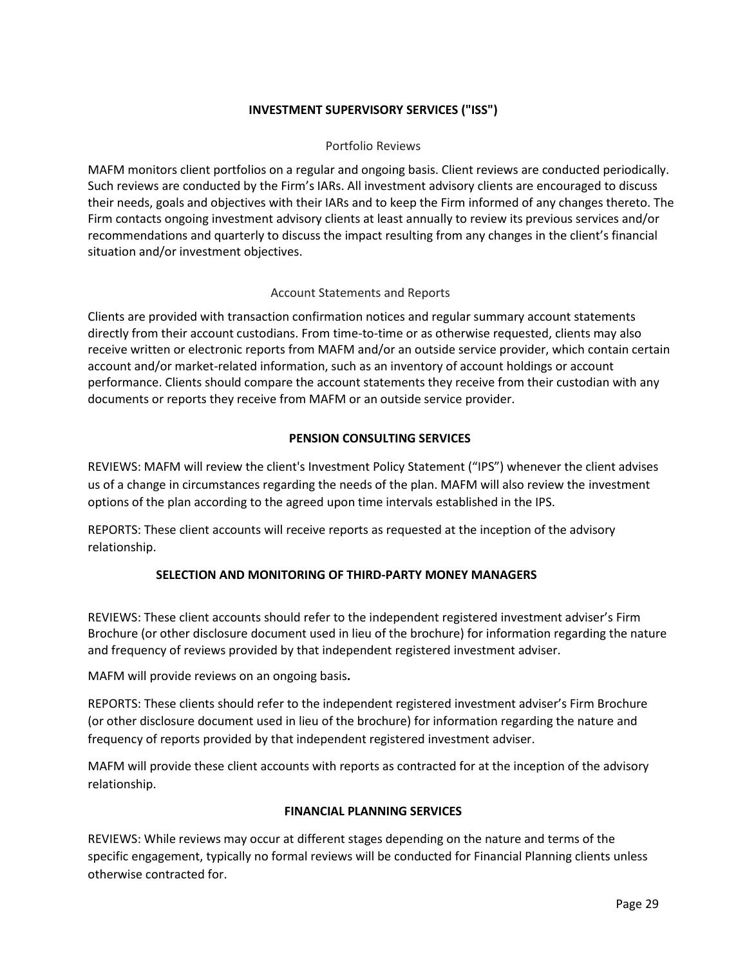### **INVESTMENT SUPERVISORY SERVICES ("ISS")**

### Portfolio Reviews

MAFM monitors client portfolios on a regular and ongoing basis. Client reviews are conducted periodically. Such reviews are conducted by the Firm's IARs. All investment advisory clients are encouraged to discuss their needs, goals and objectives with their IARs and to keep the Firm informed of any changes thereto. The Firm contacts ongoing investment advisory clients at least annually to review its previous services and/or recommendations and quarterly to discuss the impact resulting from any changes in the client's financial situation and/or investment objectives.

### Account Statements and Reports

Clients are provided with transaction confirmation notices and regular summary account statements directly from their account custodians. From time-to-time or as otherwise requested, clients may also receive written or electronic reports from MAFM and/or an outside service provider, which contain certain account and/or market-related information, such as an inventory of account holdings or account performance. Clients should compare the account statements they receive from their custodian with any documents or reports they receive from MAFM or an outside service provider.

### **PENSION CONSULTING SERVICES**

REVIEWS: MAFM will review the client's Investment Policy Statement ("IPS") whenever the client advises us of a change in circumstances regarding the needs of the plan. MAFM will also review the investment options of the plan according to the agreed upon time intervals established in the IPS.

REPORTS: These client accounts will receive reports as requested at the inception of the advisory relationship.

### **SELECTION AND MONITORING OF THIRD-PARTY MONEY MANAGERS**

REVIEWS: These client accounts should refer to the independent registered investment adviser's Firm Brochure (or other disclosure document used in lieu of the brochure) for information regarding the nature and frequency of reviews provided by that independent registered investment adviser.

MAFM will provide reviews on an ongoing basis**.**

REPORTS: These clients should refer to the independent registered investment adviser's Firm Brochure (or other disclosure document used in lieu of the brochure) for information regarding the nature and frequency of reports provided by that independent registered investment adviser.

MAFM will provide these client accounts with reports as contracted for at the inception of the advisory relationship.

### **FINANCIAL PLANNING SERVICES**

REVIEWS: While reviews may occur at different stages depending on the nature and terms of the specific engagement, typically no formal reviews will be conducted for Financial Planning clients unless otherwise contracted for.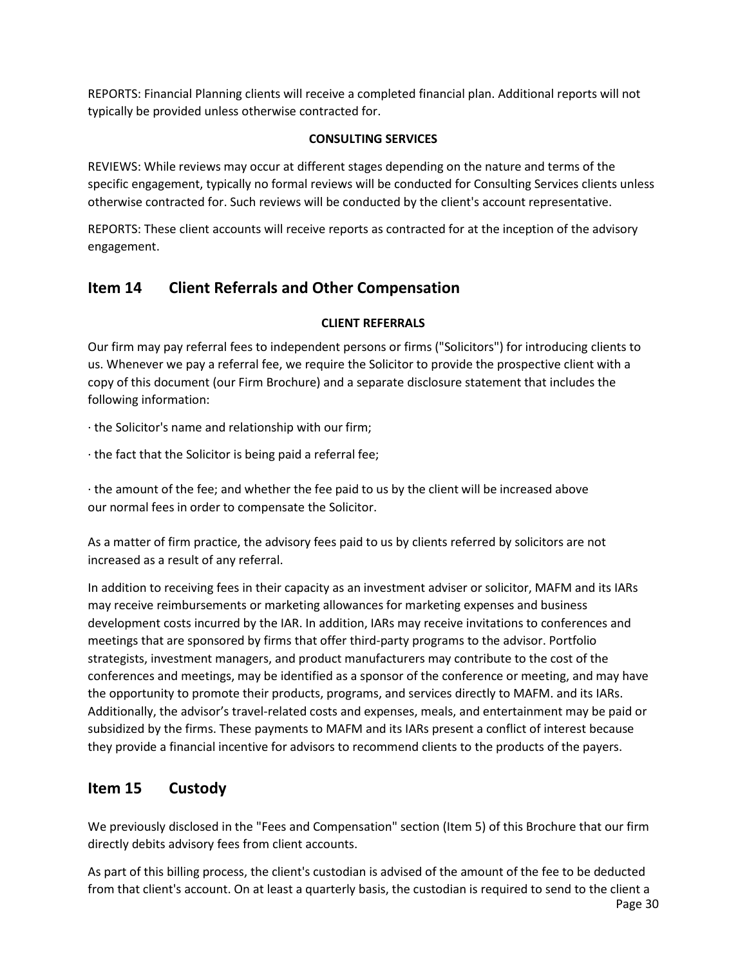REPORTS: Financial Planning clients will receive a completed financial plan. Additional reports will not typically be provided unless otherwise contracted for.

### **CONSULTING SERVICES**

REVIEWS: While reviews may occur at different stages depending on the nature and terms of the specific engagement, typically no formal reviews will be conducted for Consulting Services clients unless otherwise contracted for. Such reviews will be conducted by the client's account representative.

REPORTS: These client accounts will receive reports as contracted for at the inception of the advisory engagement.

# **Item 14 Client Referrals and Other Compensation**

### **CLIENT REFERRALS**

Our firm may pay referral fees to independent persons or firms ("Solicitors") for introducing clients to us. Whenever we pay a referral fee, we require the Solicitor to provide the prospective client with a copy of this document (our Firm Brochure) and a separate disclosure statement that includes the following information:

· the Solicitor's name and relationship with our firm;

· the fact that the Solicitor is being paid a referral fee;

· the amount of the fee; and whether the fee paid to us by the client will be increased above our normal fees in order to compensate the Solicitor.

As a matter of firm practice, the advisory fees paid to us by clients referred by solicitors are not increased as a result of any referral.

In addition to receiving fees in their capacity as an investment adviser or solicitor, MAFM and its IARs may receive reimbursements or marketing allowances for marketing expenses and business development costs incurred by the IAR. In addition, IARs may receive invitations to conferences and meetings that are sponsored by firms that offer third-party programs to the advisor. Portfolio strategists, investment managers, and product manufacturers may contribute to the cost of the conferences and meetings, may be identified as a sponsor of the conference or meeting, and may have the opportunity to promote their products, programs, and services directly to MAFM. and its IARs. Additionally, the advisor's travel-related costs and expenses, meals, and entertainment may be paid or subsidized by the firms. These payments to MAFM and its IARs present a conflict of interest because they provide a financial incentive for advisors to recommend clients to the products of the payers.

# **Item 15 Custody**

We previously disclosed in the "Fees and Compensation" section (Item 5) of this Brochure that our firm directly debits advisory fees from client accounts.

As part of this billing process, the client's custodian is advised of the amount of the fee to be deducted from that client's account. On at least a quarterly basis, the custodian is required to send to the client a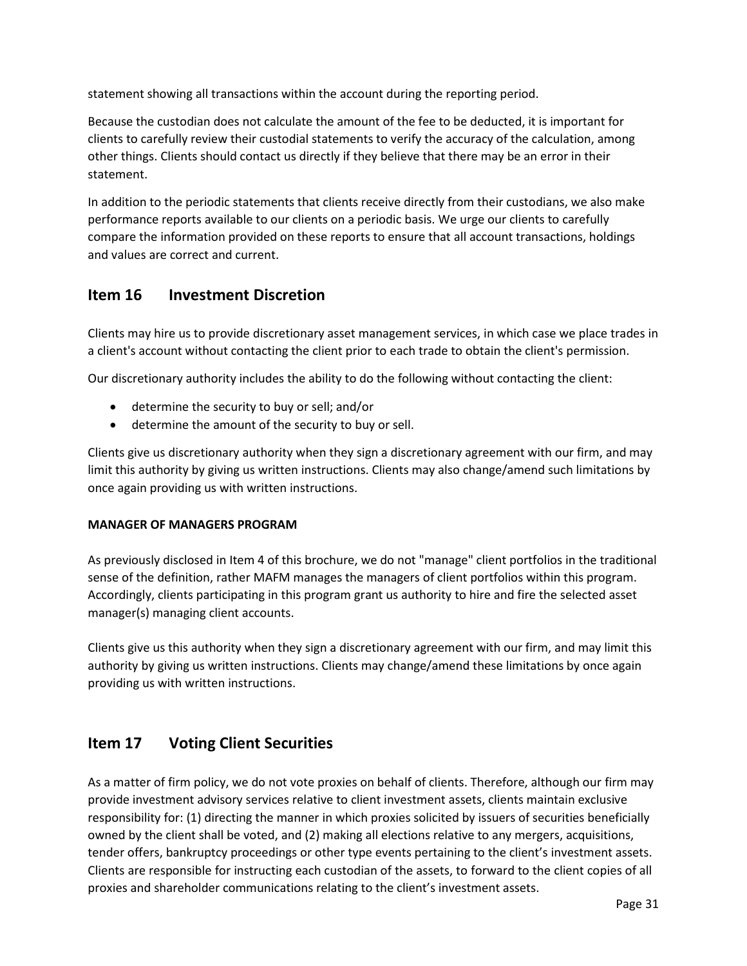statement showing all transactions within the account during the reporting period.

Because the custodian does not calculate the amount of the fee to be deducted, it is important for clients to carefully review their custodial statements to verify the accuracy of the calculation, among other things. Clients should contact us directly if they believe that there may be an error in their statement.

In addition to the periodic statements that clients receive directly from their custodians, we also make performance reports available to our clients on a periodic basis. We urge our clients to carefully compare the information provided on these reports to ensure that all account transactions, holdings and values are correct and current.

# **Item 16 Investment Discretion**

Clients may hire us to provide discretionary asset management services, in which case we place trades in a client's account without contacting the client prior to each trade to obtain the client's permission.

Our discretionary authority includes the ability to do the following without contacting the client:

- determine the security to buy or sell; and/or
- determine the amount of the security to buy or sell.

Clients give us discretionary authority when they sign a discretionary agreement with our firm, and may limit this authority by giving us written instructions. Clients may also change/amend such limitations by once again providing us with written instructions.

### **MANAGER OF MANAGERS PROGRAM**

As previously disclosed in Item 4 of this brochure, we do not "manage" client portfolios in the traditional sense of the definition, rather MAFM manages the managers of client portfolios within this program. Accordingly, clients participating in this program grant us authority to hire and fire the selected asset manager(s) managing client accounts.

Clients give us this authority when they sign a discretionary agreement with our firm, and may limit this authority by giving us written instructions. Clients may change/amend these limitations by once again providing us with written instructions.

# **Item 17 Voting Client Securities**

As a matter of firm policy, we do not vote proxies on behalf of clients. Therefore, although our firm may provide investment advisory services relative to client investment assets, clients maintain exclusive responsibility for: (1) directing the manner in which proxies solicited by issuers of securities beneficially owned by the client shall be voted, and (2) making all elections relative to any mergers, acquisitions, tender offers, bankruptcy proceedings or other type events pertaining to the client's investment assets. Clients are responsible for instructing each custodian of the assets, to forward to the client copies of all proxies and shareholder communications relating to the client's investment assets.